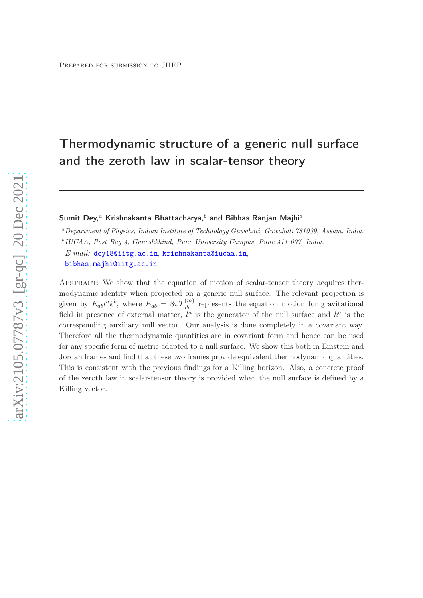# Thermodynamic structure of a generic null surface and the zeroth law in scalar-tensor theory

# Sumit Dey,<sup>a</sup> Krishnakanta Bhattacharya,<sup>b</sup> and Bibhas Ranjan Majhi<sup>a</sup>

<sup>a</sup>Department of Physics, Indian Institute of Technology Guwahati, Guwahati 781039, Assam, India.

b IUCAA, Post Bag 4, Ganeshkhind, Pune University Campus, Pune 411 007, India.

*E-mail:* [dey18@iitg.ac.in](mailto:dey18@iitg.ac.in), [krishnakanta@iucaa.in](mailto:krishnakanta@iucaa.in), [bibhas.majhi@iitg.ac.in](mailto:bibhas.majhi@iitg.ac.in)

Abstract: We show that the equation of motion of scalar-tensor theory acquires thermodynamic identity when projected on a generic null surface. The relevant projection is given by  $E_{ab}l^ak^b$ , where  $E_{ab} = 8\pi T_{ab}^{(m)}$  represents the equation motion for gravitational field in presence of external matter,  $l^a$  is the generator of the null surface and  $k^a$  is the corresponding auxiliary null vector. Our analysis is done completely in a covariant way. Therefore all the thermodynamic quantities are in covariant form and hence can be used for any specific form of metric adapted to a null surface. We show this both in Einstein and Jordan frames and find that these two frames provide equivalent thermodynamic quantities. This is consistent with the previous findings for a Killing horizon. Also, a concrete proof of the zeroth law in scalar-tensor theory is provided when the null surface is defined by a Killing vector.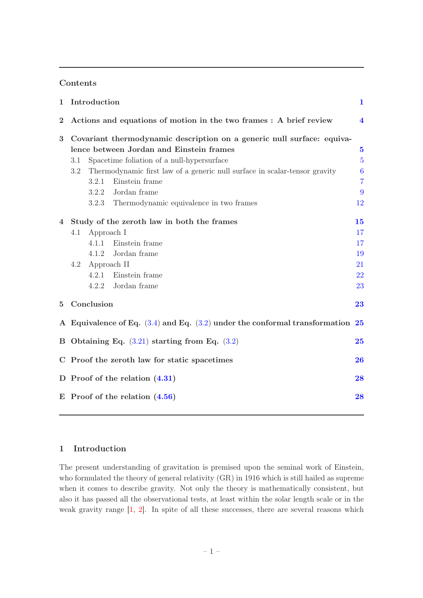## Contents

| $\mathbf{1}$ | Introduction                                                                       |             |                                                                            | $\mathbf{1}$            |
|--------------|------------------------------------------------------------------------------------|-------------|----------------------------------------------------------------------------|-------------------------|
| $\bf{2}$     | Actions and equations of motion in the two frames : A brief review                 |             |                                                                            | $\overline{\mathbf{4}}$ |
| 3            | Covariant thermodynamic description on a generic null surface: equiva-             |             |                                                                            |                         |
|              |                                                                                    |             | lence between Jordan and Einstein frames                                   | $\overline{5}$          |
|              | 3.1                                                                                |             | Spacetime foliation of a null-hypersurface                                 | $\overline{5}$          |
|              | 3.2                                                                                |             | Thermodynamic first law of a generic null surface in scalar-tensor gravity | $\boldsymbol{6}$        |
|              |                                                                                    | 3.2.1       | Einstein frame                                                             | $\overline{7}$          |
|              |                                                                                    | 3.2.2       | Jordan frame                                                               | 9                       |
|              |                                                                                    | 3.2.3       | Thermodynamic equivalence in two frames                                    | 12                      |
| 4            | Study of the zeroth law in both the frames                                         |             |                                                                            | 15                      |
|              | 4.1                                                                                | Approach I  |                                                                            | 17                      |
|              |                                                                                    | 4.1.1       | Einstein frame                                                             | 17                      |
|              |                                                                                    | 4.1.2       | Jordan frame                                                               | 19                      |
|              | 4.2                                                                                | Approach II |                                                                            | 21                      |
|              |                                                                                    | 4.2.1       | Einstein frame                                                             | 22                      |
|              |                                                                                    |             | 4.2.2 Jordan frame                                                         | 23                      |
| 5            | Conclusion                                                                         |             |                                                                            | 23                      |
|              | A Equivalence of Eq. $(3.4)$ and Eq. $(3.2)$ under the conformal transformation 25 |             |                                                                            |                         |
|              | B Obtaining Eq. $(3.21)$ starting from Eq. $(3.2)$                                 |             |                                                                            | 25                      |
|              | C Proof the zeroth law for static spacetimes                                       |             |                                                                            |                         |
|              | D Proof of the relation $(4.31)$                                                   |             |                                                                            |                         |
|              | $E$ Proof of the relation $(4.56)$                                                 |             |                                                                            |                         |
|              |                                                                                    |             |                                                                            |                         |

# <span id="page-1-0"></span>1 Introduction

The present understanding of gravitation is premised upon the seminal work of Einstein, who formulated the theory of general relativity (GR) in 1916 which is still hailed as supreme when it comes to describe gravity. Not only the theory is mathematically consistent, but also it has passed all the observational tests, at least within the solar length scale or in the weak gravity range [\[1](#page-29-0), [2](#page-29-1)]. In spite of all these successes, there are several reasons which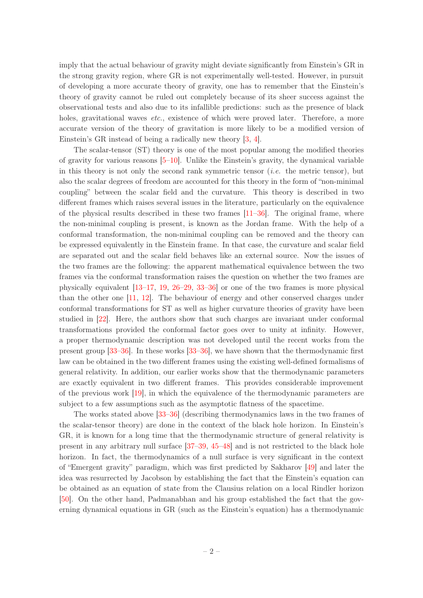imply that the actual behaviour of gravity might deviate significantly from Einstein's GR in the strong gravity region, where GR is not experimentally well-tested. However, in pursuit of developing a more accurate theory of gravity, one has to remember that the Einstein's theory of gravity cannot be ruled out completely because of its sheer success against the observational tests and also due to its infallible predictions: such as the presence of black holes, gravitational waves *etc.*, existence of which were proved later. Therefore, a more accurate version of the theory of gravitation is more likely to be a modified version of Einstein's GR instead of being a radically new theory [\[3](#page-29-2), [4](#page-29-3)].

The scalar-tensor (ST) theory is one of the most popular among the modified theories of gravity for various reasons [\[5](#page-29-4)[–10\]](#page-29-5). Unlike the Einstein's gravity, the dynamical variable in this theory is not only the second rank symmetric tensor (*i.e.* the metric tensor), but also the scalar degrees of freedom are accounted for this theory in the form of "non-minimal coupling" between the scalar field and the curvature. This theory is described in two different frames which raises several issues in the literature, particularly on the equivalence of the physical results described in these two frames  $[11–36]$  $[11–36]$ . The original frame, where the non-minimal coupling is present, is known as the Jordan frame. With the help of a conformal transformation, the non-minimal coupling can be removed and the theory can be expressed equivalently in the Einstein frame. In that case, the curvature and scalar field are separated out and the scalar field behaves like an external source. Now the issues of the two frames are the following: the apparent mathematical equivalence between the two frames via the conformal transformation raises the question on whether the two frames are physically equivalent [\[13](#page-29-7)[–17,](#page-29-8) [19,](#page-29-9) [26](#page-30-1)[–29](#page-30-2), [33](#page-30-3)[–36\]](#page-30-0) or one of the two frames is more physical than the other one [\[11](#page-29-6), [12](#page-29-10)]. The behaviour of energy and other conserved charges under conformal transformations for ST as well as higher curvature theories of gravity have been studied in [\[22](#page-30-4)]. Here, the authors show that such charges are invariant under conformal transformations provided the conformal factor goes over to unity at infinity. However, a proper thermodynamic description was not developed until the recent works from the present group [\[33](#page-30-3)[–36](#page-30-0)]. In these works [\[33](#page-30-3)[–36\]](#page-30-0), we have shown that the thermodynamic first law can be obtained in the two different frames using the existing well-defined formalisms of general relativity. In addition, our earlier works show that the thermodynamic parameters are exactly equivalent in two different frames. This provides considerable improvement of the previous work [\[19](#page-29-9)], in which the equivalence of the thermodynamic parameters are subject to a few assumptions such as the asymptotic flatness of the spacetime.

The works stated above [\[33](#page-30-3)[–36\]](#page-30-0) (describing thermodynamics laws in the two frames of the scalar-tensor theory) are done in the context of the black hole horizon. In Einstein's GR, it is known for a long time that the thermodynamic structure of general relativity is present in any arbitrary null surface [\[37](#page-31-0)[–39](#page-31-1), [45](#page-31-2)[–48](#page-31-3)] and is not restricted to the black hole horizon. In fact, the thermodynamics of a null surface is very significant in the context of "Emergent gravity" paradigm, which was first predicted by Sakharov [\[49\]](#page-31-4) and later the idea was resurrected by Jacobson by establishing the fact that the Einstein's equation can be obtained as an equation of state from the Clausius relation on a local Rindler horizon [\[50](#page-31-5)]. On the other hand, Padmanabhan and his group established the fact that the governing dynamical equations in GR (such as the Einstein's equation) has a thermodynamic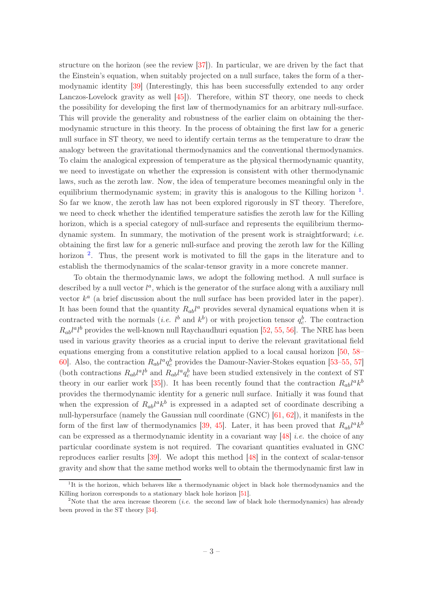structure on the horizon (see the review [\[37](#page-31-0)]). In particular, we are driven by the fact that the Einstein's equation, when suitably projected on a null surface, takes the form of a thermodynamic identity [\[39\]](#page-31-1) (Interestingly, this has been successfully extended to any order Lanczos-Lovelock gravity as well [\[45](#page-31-2)]). Therefore, within ST theory, one needs to check the possibility for developing the first law of thermodynamics for an arbitrary null-surface. This will provide the generality and robustness of the earlier claim on obtaining the thermodynamic structure in this theory. In the process of obtaining the first law for a generic null surface in ST theory, we need to identify certain terms as the temperature to draw the analogy between the gravitational thermodynamics and the conventional thermodynamics. To claim the analogical expression of temperature as the physical thermodynamic quantity, we need to investigate on whether the expression is consistent with other thermodynamic laws, such as the zeroth law. Now, the idea of temperature becomes meaningful only in the equilibrium thermodynamic system; in gravity this is analogous to the Killing horizon  $<sup>1</sup>$  $<sup>1</sup>$  $<sup>1</sup>$ .</sup> So far we know, the zeroth law has not been explored rigorously in ST theory. Therefore, we need to check whether the identified temperature satisfies the zeroth law for the Killing horizon, which is a special category of null-surface and represents the equilibrium thermodynamic system. In summary, the motivation of the present work is straightforward; *i.e.* obtaining the first law for a generic null-surface and proving the zeroth law for the Killing horizon<sup>[2](#page-3-1)</sup>. Thus, the present work is motivated to fill the gaps in the literature and to establish the thermodynamics of the scalar-tensor gravity in a more concrete manner.

To obtain the thermodynamic laws, we adopt the following method. A null surface is described by a null vector  $l^a$ , which is the generator of the surface along with a auxiliary null vector  $k^a$  (a brief discussion about the null surface has been provided later in the paper). It has been found that the quantity  $R_{ab}l^a$  provides several dynamical equations when it is contracted with the normals (*i.e.*  $l^b$  and  $k^b$ ) or with projection tensor  $q_c^b$ . The contraction  $R_{ab}l^a l^b$  provides the well-known null Raychaudhuri equation [\[52](#page-31-6), [55,](#page-32-0) [56](#page-32-1)]. The NRE has been used in various gravity theories as a crucial input to derive the relevant gravitational field equations emerging from a constitutive relation applied to a local causal horizon [\[50,](#page-31-5) [58–](#page-32-2) [60](#page-32-3)]. Also, the contraction  $R_{ab}l^a q_c^b$  provides the Damour-Navier-Stokes equation [\[53](#page-31-7)[–55,](#page-32-0) [57\]](#page-32-4) (both contractions  $R_{ab}l^a l^b$  and  $R_{ab}l^a q_c^b$  have been studied extensively in the context of ST theory in our earlier work [\[35](#page-30-5)]). It has been recently found that the contraction  $R_{ab}l^ak^b$ provides the thermodynamic identity for a generic null surface. Initially it was found that when the expression of  $R_{ab}l^ak^b$  is expressed in a adapted set of coordinate describing a null-hypersurface (namely the Gaussian null coordinate (GNC) [\[61](#page-32-5), [62\]](#page-32-6)), it manifests in the form of the first law of thermodynamics [\[39,](#page-31-1) [45\]](#page-31-2). Later, it has been proved that  $R_{ab}l^ak^b$ can be expressed as a thermodynamic identity in a covariant way [\[48](#page-31-3)] *i.e.* the choice of any particular coordinate system is not required. The covariant quantities evaluated in GNC reproduces earlier results [\[39](#page-31-1)]. We adopt this method [\[48](#page-31-3)] in the context of scalar-tensor gravity and show that the same method works well to obtain the thermodynamic first law in

<span id="page-3-0"></span><sup>&</sup>lt;sup>1</sup>It is the horizon, which behaves like a thermodynamic object in black hole thermodynamics and the Killing horizon corresponds to a stationary black hole horizon [\[51\]](#page-31-8).

<span id="page-3-1"></span><sup>&</sup>lt;sup>2</sup>Note that the area increase theorem *(i.e.* the second law of black hole thermodynamics) has already been proved in the ST theory [\[34](#page-30-6)].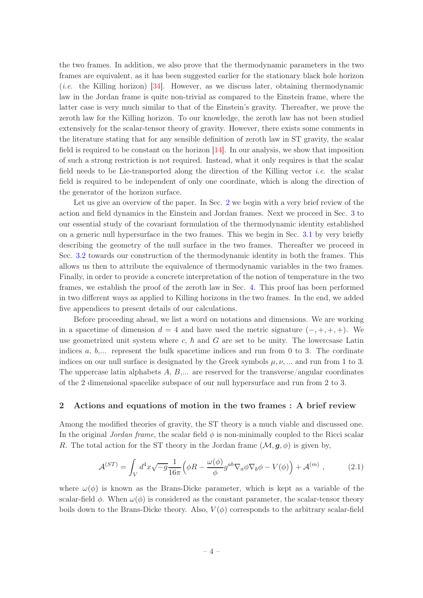the two frames. In addition, we also prove that the thermodynamic parameters in the two frames are equivalent, as it has been suggested earlier for the stationary black hole horizon (*i.e.* the Killing horizon) [\[34\]](#page-30-6). However, as we discuss later, obtaining thermodynamic law in the Jordan frame is quite non-trivial as compared to the Einstein frame, where the latter case is very much similar to that of the Einstein's gravity. Thereafter, we prove the zeroth law for the Killing horizon. To our knowledge, the zeroth law has not been studied extensively for the scalar-tensor theory of gravity. However, there exists some comments in the literature stating that for any sensible definition of zeroth law in ST gravity, the scalar field is required to be constant on the horizon  $[14]$ . In our analysis, we show that imposition of such a strong restriction is not required. Instead, what it only requires is that the scalar field needs to be Lie-transported along the direction of the Killing vector *i.e.* the scalar field is required to be independent of only one coordinate, which is along the direction of the generator of the horizon surface.

Let us give an overview of the paper. In Sec. [2](#page-4-0) we begin with a very brief review of the action and field dynamics in the Einstein and Jordan frames. Next we proceed in Sec. [3](#page-5-0) to our essential study of the covariant formulation of the thermodynamic identity established on a generic null hypersurface in the two frames. This we begin in Sec. [3.1](#page-5-1) by very briefly describing the geometry of the null surface in the two frames. Thereafter we proceed in Sec. [3.2](#page-6-0) towards our construction of the thermodynamic identity in both the frames. This allows us then to attribute the equivalence of thermodynamic variables in the two frames. Finally, in order to provide a concrete interpretation of the notion of temperature in the two frames, we establish the proof of the zeroth law in Sec. [4.](#page-15-0) This proof has been performed in two different ways as applied to Killing horizons in the two frames. In the end, we added five appendices to present details of our calculations.

Before proceeding ahead, we list a word on notations and dimensions. We are working in a spacetime of dimension  $d = 4$  and have used the metric signature  $(-, +, +, +)$ . We use geometrized unit system where c,  $\hbar$  and G are set to be unity. The lowercsase Latin indices  $a, b, \ldots$  represent the bulk spacetime indices and run from 0 to 3. The cordinate indices on our null surface is designated by the Greek symbols  $\mu, \nu, \dots$  and run from 1 to 3. The uppercase latin alphabets  $A, B, \ldots$  are reserved for the transverse/angular coordinates of the 2 dimensional spacelike subspace of our null hypersurface and run from 2 to 3.

## <span id="page-4-0"></span>2 Actions and equations of motion in the two frames : A brief review

Among the modified theories of gravity, the ST theory is a much viable and discussed one. In the original *Jordan frame*, the scalar field  $\phi$  is non-minimally coupled to the Ricci scalar R. The total action for the ST theory in the Jordan frame  $(\mathcal{M}, g, \phi)$  is given by,

<span id="page-4-1"></span>
$$
\mathcal{A}^{(ST)} = \int_V d^4x \sqrt{-g} \frac{1}{16\pi} \Big( \phi R - \frac{\omega(\phi)}{\phi} g^{ab} \nabla_a \phi \nabla_b \phi - V(\phi) \Big) + \mathcal{A}^{(m)} \;, \tag{2.1}
$$

where  $\omega(\phi)$  is known as the Brans-Dicke parameter, which is kept as a variable of the scalar-field  $\phi$ . When  $\omega(\phi)$  is considered as the constant parameter, the scalar-tensor theory boils down to the Brans-Dicke theory. Also,  $V(\phi)$  corresponds to the arbitrary scalar-field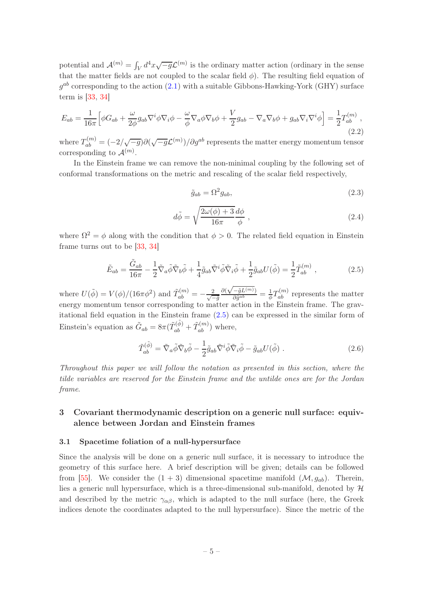potential and  $\mathcal{A}^{(m)} = \int_V d^4x \sqrt{-g} \mathcal{L}^{(m)}$  is the ordinary matter action (ordinary in the sense that the matter fields are not coupled to the scalar field  $\phi$ ). The resulting field equation of  $g^{ab}$  corresponding to the action  $(2.1)$  with a suitable Gibbons-Hawking-York  $(GHY)$  surface term is [\[33](#page-30-3), [34](#page-30-6)]

<span id="page-5-4"></span>
$$
E_{ab} = \frac{1}{16\pi} \Big[ \phi G_{ab} + \frac{\omega}{2\phi} g_{ab} \nabla^i \phi \nabla_i \phi - \frac{\omega}{\phi} \nabla_a \phi \nabla_b \phi + \frac{V}{2} g_{ab} - \nabla_a \nabla_b \phi + g_{ab} \nabla_i \nabla^i \phi \Big] = \frac{1}{2} T_{ab}^{(m)} \,, \tag{2.2}
$$

where  $T_{ab}^{(m)} = (-2/\sqrt{-g})\partial(\sqrt{-g}\mathcal{L}^{(m)})/\partial g^{ab}$  represents the matter energy momentum tensor corresponding to  $\mathcal{A}^{(m)}$ .

In the Einstein frame we can remove the non-minimal coupling by the following set of conformal transformations on the metric and rescaling of the scalar field respectively,

<span id="page-5-3"></span>
$$
\tilde{g}_{ab} = \Omega^2 g_{ab},\tag{2.3}
$$

<span id="page-5-5"></span>
$$
d\tilde{\phi} = \sqrt{\frac{2\omega(\phi) + 3}{16\pi}} \frac{d\phi}{\phi} , \qquad (2.4)
$$

where  $\Omega^2 = \phi$  along with the condition that  $\phi > 0$ . The related field equation in Einstein frame turns out to be [\[33](#page-30-3), [34\]](#page-30-6)

<span id="page-5-2"></span>
$$
\tilde{E}_{ab} = \frac{\tilde{G}_{ab}}{16\pi} - \frac{1}{2}\tilde{\nabla}_a\tilde{\phi}\tilde{\nabla}_b\tilde{\phi} + \frac{1}{4}\tilde{g}_{ab}\tilde{\nabla}^i\tilde{\phi}\tilde{\nabla}_i\tilde{\phi} + \frac{1}{2}\tilde{g}_{ab}U(\tilde{\phi}) = \frac{1}{2}\tilde{T}_{ab}^{(m)}\,,\tag{2.5}
$$

where  $U(\tilde{\phi}) = V(\phi)/(16\pi\phi^2)$  and  $\tilde{T}_{ab}^{(m)} = -\frac{2}{\sqrt{2}}$  $-\tilde{g}$  $\partial(\sqrt{-\tilde{g}L^{(m)}})$  $\frac{-\tilde{g}L^{(m)}}{\partial \tilde{g}^{ab}} = \frac{1}{\phi}T_{ab}^{(m)}$  represents the matter energy momentum tensor corresponding to matter action in the Einstein frame. The gravitational field equation in the Einstein frame [\(2.5\)](#page-5-2) can be expressed in the similar form of Einstein's equation as  $\tilde{G}_{ab} = 8\pi (\tilde{T}_{ab}^{(\tilde{\phi})} + \tilde{T}_{ab}^{(m)})$  where,

$$
\tilde{T}_{ab}^{(\tilde{\phi})} = \tilde{\nabla}_a \tilde{\phi} \tilde{\nabla}_b \tilde{\phi} - \frac{1}{2} \tilde{g}_{ab} \tilde{\nabla}^i \tilde{\phi} \tilde{\nabla}_i \tilde{\phi} - \tilde{g}_{ab} U(\tilde{\phi}) . \qquad (2.6)
$$

*Throughout this paper we will follow the notation as presented in this section, where the tilde variables are reserved for the Einstein frame and the untilde ones are for the Jordan frame*.

# <span id="page-5-0"></span>3 Covariant thermodynamic description on a generic null surface: equivalence between Jordan and Einstein frames

#### <span id="page-5-1"></span>3.1 Spacetime foliation of a null-hypersurface

Since the analysis will be done on a generic null surface, it is necessary to introduce the geometry of this surface here. A brief description will be given; details can be followed from [\[55](#page-32-0)]. We consider the  $(1 + 3)$  dimensional spacetime manifold  $(\mathcal{M}, q_{ab})$ . Therein, lies a generic null hypersurface, which is a three-dimensional sub-manifold, denoted by  $H$ and described by the metric  $\gamma_{\alpha\beta}$ , which is adapted to the null surface (here, the Greek indices denote the coordinates adapted to the null hypersurface). Since the metric of the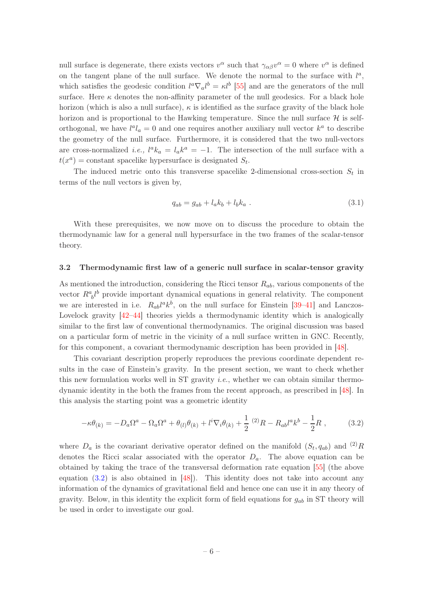null surface is degenerate, there exists vectors  $v^{\alpha}$  such that  $\gamma_{\alpha\beta}v^{\alpha} = 0$  where  $v^{\alpha}$  is defined on the tangent plane of the null surface. We denote the normal to the surface with  $l^a$ , which satisfies the geodesic condition  $l^a \nabla_a l^b = \kappa l^b$  [\[55](#page-32-0)] and are the generators of the null surface. Here  $\kappa$  denotes the non-affinity parameter of the null geodesics. For a black hole horizon (which is also a null surface),  $\kappa$  is identified as the surface gravity of the black hole horizon and is proportional to the Hawking temperature. Since the null surface  $\mathcal H$  is selforthogonal, we have  $l^a l_a = 0$  and one requires another auxiliary null vector  $k^a$  to describe the geometry of the null surface. Furthermore, it is considered that the two null-vectors are cross-normalized *i.e.*,  $l^a k_a = l_a k^a = -1$ . The intersection of the null surface with a  $t(x^a)$  = constant spacelike hypersurface is designated  $S_t$ .

The induced metric onto this transverse spacelike 2-dimensional cross-section  $S_t$  in terms of the null vectors is given by,

$$
q_{ab} = g_{ab} + l_a k_b + l_b k_a \tag{3.1}
$$

With these prerequisites, we now move on to discuss the procedure to obtain the thermodynamic law for a general null hypersurface in the two frames of the scalar-tensor theory.

#### <span id="page-6-0"></span>3.2 Thermodynamic first law of a generic null surface in scalar-tensor gravity

As mentioned the introduction, considering the Ricci tensor  $R_{ab}$ , various components of the vector  $R^a_{\ b}l^b$  provide important dynamical equations in general relativity. The component we are interested in i.e.  $R_{ab}l^a k^b$ , on the null surface for Einstein [\[39](#page-31-1)[–41](#page-31-9)] and Lanczos-Lovelock gravity  $[42-44]$  theories yields a thermodynamic identity which is analogically similar to the first law of conventional thermodynamics. The original discussion was based on a particular form of metric in the vicinity of a null surface written in GNC. Recently, for this component, a covariant thermodynamic description has been provided in [\[48\]](#page-31-3).

This covariant description properly reproduces the previous coordinate dependent results in the case of Einstein's gravity. In the present section, we want to check whether this new formulation works well in ST gravity *i.e.*, whether we can obtain similar thermodynamic identity in the both the frames from the recent approach, as prescribed in [\[48](#page-31-3)]. In this analysis the starting point was a geometric identity

<span id="page-6-1"></span>
$$
-\kappa \theta_{(k)} = -D_a \Omega^a - \Omega_a \Omega^a + \theta_{(l)} \theta_{(k)} + l^i \nabla_i \theta_{(k)} + \frac{1}{2} (2) R - R_{ab} l^a k^b - \frac{1}{2} R , \qquad (3.2)
$$

where  $D_a$  is the covariant derivative operator defined on the manifold  $(S_t, q_{ab})$  and  $(2)$  R denotes the Ricci scalar associated with the operator  $D_a$ . The above equation can be obtained by taking the trace of the transversal deformation rate equation [\[55](#page-32-0)] (the above equation  $(3.2)$  is also obtained in [\[48\]](#page-31-3)). This identity does not take into account any information of the dynamics of gravitational field and hence one can use it in any theory of gravity. Below, in this identity the explicit form of field equations for  $g_{ab}$  in ST theory will be used in order to investigate our goal.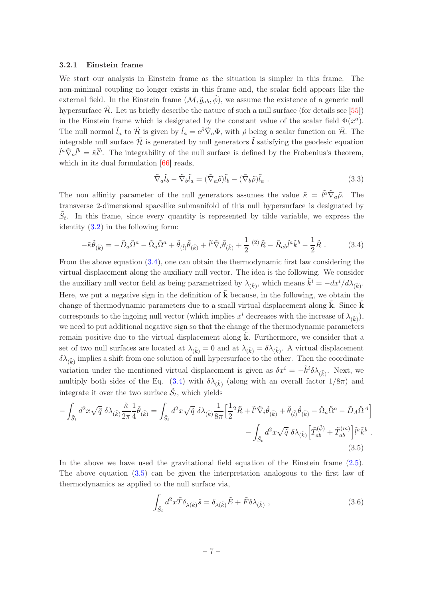## <span id="page-7-0"></span>3.2.1 Einstein frame

We start our analysis in Einstein frame as the situation is simpler in this frame. The non-minimal coupling no longer exists in this frame and, the scalar field appears like the external field. In the Einstein frame  $(\mathcal{M}, \tilde{g}_{ab}, \tilde{\phi})$ , we assume the existence of a generic null hypersurface  $\mathcal{H}$ . Let us briefly describe the nature of such a null surface (for details see [\[55\]](#page-32-0)) in the Einstein frame which is designated by the constant value of the scalar field  $\Phi(x^a)$ . The null normal  $\tilde{l}_a$  to  $\tilde{\mathcal{H}}_a$  is given by  $\tilde{l}_a = e^{\tilde{\rho}} \tilde{\nabla}_a \Phi$ , with  $\tilde{\rho}$  being a scalar function on  $\tilde{\mathcal{H}}$ . The integrable null surface  $\tilde{\mathcal{H}}$  is generated by null generators  $\tilde{l}$  satisfying the geodesic equation  $\tilde{l}^a \tilde{\nabla}_a \tilde{l}^b = \tilde{\kappa} \tilde{l}^b$ . The integrability of the null surface is defined by the Frobenius's theorem, which in its dual formulation [\[66\]](#page-32-7) reads,

<span id="page-7-4"></span><span id="page-7-1"></span>
$$
\tilde{\nabla}_a \tilde{l}_b - \tilde{\nabla}_b \tilde{l}_a = (\tilde{\nabla}_a \tilde{\rho}) \tilde{l}_b - (\tilde{\nabla}_b \tilde{\rho}) \tilde{l}_a . \qquad (3.3)
$$

The non affinity parameter of the null generators assumes the value  $\tilde{\kappa} = \tilde{l}^{\tilde{a}} \tilde{\nabla}_{\tilde{a}} \tilde{\rho}$ . The transverse 2-dimensional spacelike submanifold of this null hypersurface is designated by  $\tilde{S}_t$ . In this frame, since every quantity is represented by tilde variable, we express the identity  $(3.2)$  in the following form:

$$
-\tilde{\kappa}\tilde{\theta}_{(\tilde{k})} = -\tilde{D}_a\tilde{\Omega}^a - \tilde{\Omega}_a\tilde{\Omega}^a + \tilde{\theta}_{(\tilde{l})}\tilde{\theta}_{(\tilde{k})} + \tilde{l}^i\tilde{\nabla}_i\tilde{\theta}_{(\tilde{k})} + \frac{1}{2}(2)\tilde{R} - \tilde{R}_{ab}\tilde{l}^a\tilde{k}^b - \frac{1}{2}\tilde{R}.
$$
 (3.4)

From the above equation [\(3.4\)](#page-7-1), one can obtain the thermodynamic first law considering the virtual displacement along the auxiliary null vector. The idea is the following. We consider the auxiliary null vector field as being parametrized by  $\lambda_{(\tilde{k})}$ , which means  $\tilde{k}^i = -dx^i/d\lambda_{(\tilde{k})}$ . Here, we put a negative sign in the definition of  $\tilde{k}$  because, in the following, we obtain the change of thermodynamic parameters due to a small virtual displacement along  $\bf{k}$ . Since  $\bf{k}$ corresponds to the ingoing null vector (which implies  $x^i$  decreases with the increase of  $\lambda_{(\tilde{k})}$ ), we need to put additional negative sign so that the change of the thermodynamic parameters remain positive due to the virtual displacement along  $\ddot{\mathbf{k}}$ . Furthermore, we consider that a set of two null surfaces are located at  $\lambda_{(\tilde{k})} = 0$  and at  $\lambda_{(\tilde{k})} = \delta \lambda_{(\tilde{k})}$ . A virtual displacement  $\delta\lambda_{(\tilde{k})}$  implies a shift from one solution of null hypersurface to the other. Then the coordinate variation under the mentioned virtual displacement is given as  $\delta x^i = -\tilde{k}^i \delta \lambda_{(\tilde{k})}$ . Next, we multiply both sides of the Eq. [\(3.4\)](#page-7-1) with  $\delta\lambda_{(\tilde{k})}$  (along with an overall factor  $1/8\pi$ ) and integrate it over the two surface  $\tilde{S}_t$ , which yields

$$
-\int_{\tilde{S}_t} d^2x \sqrt{\tilde{q}} \, \delta\lambda_{(\tilde{k})} \frac{\tilde{\kappa}}{2\pi} \frac{1}{4} \tilde{\theta}_{(\tilde{k})} = \int_{\tilde{S}_t} d^2x \sqrt{\tilde{q}} \, \delta\lambda_{(\tilde{k})} \frac{1}{8\pi} \Big[ \frac{1}{2} {}^2\tilde{R} + \tilde{l}^i \tilde{\nabla}_i \tilde{\theta}_{(\tilde{k})} + \tilde{\theta}_{(\tilde{l})} \tilde{\theta}_{(\tilde{k})} - \tilde{\Omega}_a \tilde{\Omega}^a - \tilde{D}_A \tilde{\Omega}^A \Big] - \int_{\tilde{S}_t} d^2x \sqrt{\tilde{q}} \, \delta\lambda_{(\tilde{k})} \Big[ \tilde{T}_{ab}^{(\tilde{\phi})} + \tilde{T}_{ab}^{(m)} \Big] \tilde{l}^a \tilde{k}^b \,. \tag{3.5}
$$

In the above we have used the gravitational field equation of the Einstein frame  $(2.5)$ . The above equation [\(3.5\)](#page-7-2) can be given the interpretation analogous to the first law of thermodynamics as applied to the null surface via,

<span id="page-7-3"></span><span id="page-7-2"></span>
$$
\int_{\tilde{S}_t} d^2x \tilde{T} \delta_{\lambda(\tilde{k})} \tilde{s} = \delta_{\lambda(\tilde{k})} \tilde{E} + \tilde{F} \delta \lambda_{(\tilde{k})} , \qquad (3.6)
$$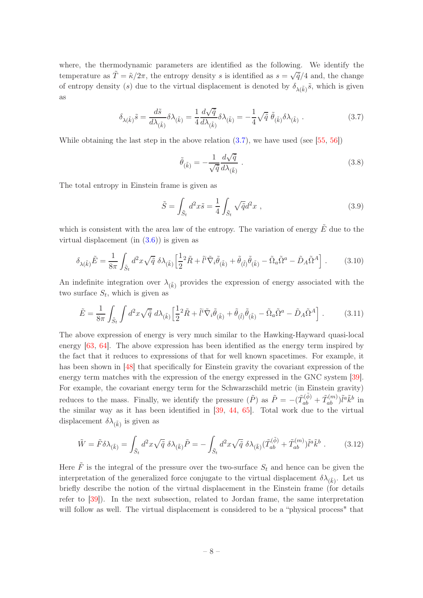where, the thermodynamic parameters are identified as the following. We identify the temperature as  $\tilde{T} = \tilde{\kappa}/2\pi$ , the entropy density s is identified as  $s = \sqrt{\tilde{q}}/4$  and, the change of entropy density (s) due to the virtual displacement is denoted by  $\delta_{\lambda(\tilde{k})}\tilde{s}$ , which is given as

$$
\delta_{\lambda(\tilde{k})}\tilde{s} = \frac{d\tilde{s}}{d\lambda_{(\tilde{k})}}\delta\lambda_{(\tilde{k})} = \frac{1}{4}\frac{d\sqrt{\tilde{q}}}{d\lambda_{(\tilde{k})}}\delta\lambda_{(\tilde{k})} = -\frac{1}{4}\sqrt{\tilde{q}}\,\tilde{\theta}_{(\tilde{k})}\delta\lambda_{(\tilde{k})}.
$$
\n(3.7)

While obtaining the last step in the above relation  $(3.7)$ , we have used (see [\[55](#page-32-0), [56](#page-32-1)])

<span id="page-8-0"></span>
$$
\tilde{\theta}_{(\tilde{k})} = -\frac{1}{\sqrt{\tilde{q}}} \frac{d\sqrt{\tilde{q}}}{d\lambda_{(\tilde{k})}}.
$$
\n(3.8)

The total entropy in Einstein frame is given as

<span id="page-8-2"></span><span id="page-8-1"></span>
$$
\tilde{S} = \int_{\tilde{S}_t} d^2 x \tilde{s} = \frac{1}{4} \int_{\tilde{S}_t} \sqrt{\tilde{q}} d^2 x \;, \tag{3.9}
$$

which is consistent with the area law of the entropy. The variation of energy  $\tilde{E}$  due to the virtual displacement (in  $(3.6)$ ) is given as

$$
\delta_{\lambda(\tilde{k})}\tilde{E} = \frac{1}{8\pi} \int_{\tilde{S}_t} d^2x \sqrt{\tilde{q}} \, \delta\lambda_{(\tilde{k})} \left[ \frac{1}{2} {}^2\tilde{R} + \tilde{l}^i \tilde{\nabla}_i \tilde{\theta}_{(\tilde{k})} + \tilde{\theta}_{(\tilde{l})} \tilde{\theta}_{(\tilde{k})} - \tilde{\Omega}_a \tilde{\Omega}^a - \tilde{D}_A \tilde{\Omega}^A \right]. \tag{3.10}
$$

An indefinite integration over  $\lambda_{(\tilde{k})}$  provides the expression of energy associated with the two surface  $S_t$ , which is given as

$$
\tilde{E} = \frac{1}{8\pi} \int_{\tilde{S}_t} \int d^2x \sqrt{\tilde{q}} \, d\lambda_{(\tilde{k})} \left[ \frac{1}{2} {}^2\tilde{R} + \tilde{l}^i \tilde{\nabla}_i \tilde{\theta}_{(\tilde{k})} + \tilde{\theta}_{(\tilde{l})} \tilde{\theta}_{(\tilde{k})} - \tilde{\Omega}_a \tilde{\Omega}^a - \tilde{D}_A \tilde{\Omega}^A \right]. \tag{3.11}
$$

The above expression of energy is very much similar to the Hawking-Hayward quasi-local energy [\[63](#page-32-8), [64](#page-32-9)]. The above expression has been identified as the energy term inspired by the fact that it reduces to expressions of that for well known spacetimes. For example, it has been shown in [\[48](#page-31-3)] that specifically for Einstein gravity the covariant expression of the energy term matches with the expression of the energy expressed in the GNC system [\[39\]](#page-31-1). For example, the covariant energy term for the Schwarzschild metric (in Einstein gravity) reduces to the mass. Finally, we identify the pressure  $(\tilde{P})$  as  $\tilde{P} = -(\tilde{T}_{ab}^{(\tilde{\phi})} + \tilde{T}_{ab}^{(m)})\tilde{l}^a \tilde{k}^b$  in the similar way as it has been identified in [\[39](#page-31-1), [44,](#page-31-11) [65\]](#page-32-10). Total work due to the virtual displacement  $\delta\lambda_{(\tilde{k})}$  is given as

$$
\tilde{W} = \tilde{F}\delta\lambda_{(\tilde{k})} = \int_{\tilde{S}_t} d^2x \sqrt{\tilde{q}} \ \delta\lambda_{(\tilde{k})}\tilde{P} = -\int_{\tilde{S}_t} d^2x \sqrt{\tilde{q}} \ \delta\lambda_{(\tilde{k})}(\tilde{T}_{ab}^{(\tilde{\phi})} + \tilde{T}_{ab}^{(m)})\tilde{l}^a\tilde{k}^b . \tag{3.12}
$$

Here  $\tilde{F}$  is the integral of the pressure over the two-surface  $S_t$  and hence can be given the interpretation of the generalized force conjugate to the virtual displacement  $\delta\lambda_{(\tilde{k})}$ . Let us briefly describe the notion of the virtual displacement in the Einstein frame (for details refer to [\[39\]](#page-31-1)). In the next subsection, related to Jordan frame, the same interpretation will follow as well. The virtual displacement is considered to be a "physical process" that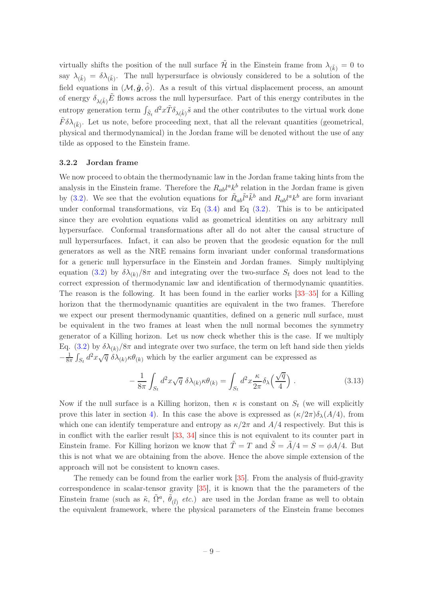virtually shifts the position of the null surface  $\tilde{\mathcal{H}}$  in the Einstein frame from  $\lambda_{(\tilde{k})} = 0$  to say  $\lambda_{(\tilde{k})} = \delta \lambda_{(\tilde{k})}$ . The null hypersurface is obviously considered to be a solution of the field equations in  $(\mathcal{M}, \tilde{g}, \phi)$ . As a result of this virtual displacement process, an amount of energy  $\delta_{\lambda(\tilde{k})}\tilde{E}$  flows across the null hypersurface. Part of this energy contributes in the entropy generation term  $\int_{\tilde{S}_t} d^2x \tilde{T} \delta_{\lambda(\tilde{k})} \tilde{s}$  and the other contributes to the virtual work done  $\tilde{F} \delta \lambda_{(\tilde{k})}$ . Let us note, before proceeding next, that all the relevant quantities (geometrical, physical and thermodynamical) in the Jordan frame will be denoted without the use of any tilde as opposed to the Einstein frame.

#### <span id="page-9-0"></span>3.2.2 Jordan frame

We now proceed to obtain the thermodynamic law in the Jordan frame taking hints from the analysis in the Einstein frame. Therefore the  $R_{ab}l^ak^b$  relation in the Jordan frame is given by [\(3.2\)](#page-6-1). We see that the evolution equations for  $\tilde{R}_{ab}\tilde{l}^a\tilde{k}^b$  and  $R_{ab}l^ak^b$  are form invariant under conformal transformations, viz Eq  $(3.4)$  and Eq  $(3.2)$ . This is to be anticipated since they are evolution equations valid as geometrical identities on any arbitrary null hypersurface. Conformal transformations after all do not alter the causal structure of null hypersurfaces. Infact, it can also be proven that the geodesic equation for the null generators as well as the NRE remains form invariant under conformal transformations for a generic null hypersurface in the Einstein and Jordan frames. Simply multiplying equation [\(3.2\)](#page-6-1) by  $\delta \lambda_{(k)}/8\pi$  and integrating over the two-surface  $S_t$  does not lead to the correct expression of thermodynamic law and identification of thermodynamic quantities. The reason is the following. It has been found in the earlier works [\[33](#page-30-3)[–35](#page-30-5)] for a Killing horizon that the thermodynamic quantities are equivalent in the two frames. Therefore we expect our present thermodynamic quantities, defined on a generic null surface, must be equivalent in the two frames at least when the null normal becomes the symmetry generator of a Killing horizon. Let us now check whether this is the case. If we multiply Eq. [\(3.2\)](#page-6-1) by  $\delta \lambda_{(k)}/8\pi$  and integrate over two surface, the term on left hand side then yields  $-\frac{1}{8\pi}\int_{S_t} d^2x\sqrt{q} \delta\lambda_{(k)}\kappa\theta_{(k)}$  which by the earlier argument can be expressed as

$$
-\frac{1}{8\pi} \int_{S_t} d^2 x \sqrt{q} \ \delta \lambda_{(k)} \kappa \theta_{(k)} = \int_{S_t} d^2 x \frac{\kappa}{2\pi} \delta_\lambda \left(\frac{\sqrt{q}}{4}\right) \ . \tag{3.13}
$$

Now if the null surface is a Killing horizon, then  $\kappa$  is constant on  $S_t$  (we will explicitly prove this later in section [4\)](#page-15-0). In this case the above is expressed as  $(\kappa/2\pi)\delta_{\lambda}(A/4)$ , from which one can identify temperature and entropy as  $\kappa/2\pi$  and  $A/4$  respectively. But this is in conflict with the earlier result [\[33,](#page-30-3) [34\]](#page-30-6) since this is not equivalent to its counter part in Einstein frame. For Killing horizon we know that  $\tilde{T} = T$  and  $\tilde{S} = \tilde{A}/4 = S = \phi A/4$ . But this is not what we are obtaining from the above. Hence the above simple extension of the approach will not be consistent to known cases.

The remedy can be found from the earlier work [\[35](#page-30-5)]. From the analysis of fluid-gravity correspondence in scalar-tensor gravity [\[35\]](#page-30-5), it is known that the the parameters of the Einstein frame (such as  $\tilde{\kappa}$ ,  $\tilde{\Omega}^a$ ,  $\tilde{\theta}_{(\tilde{l})}$  *etc.*) are used in the Jordan frame as well to obtain the equivalent framework, where the physical parameters of the Einstein frame becomes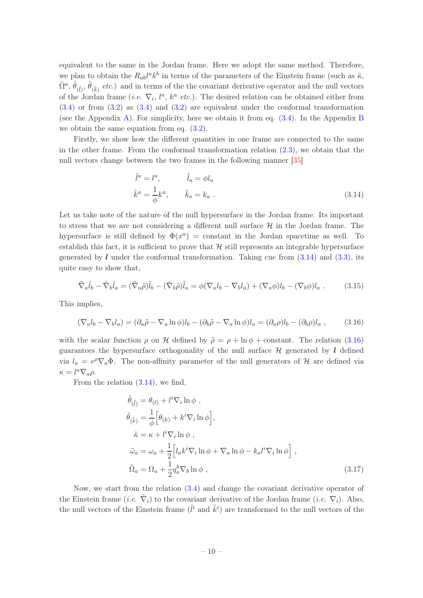equivalent to the same in the Jordan frame. Here we adopt the same method. Therefore, we plan to obtain the  $R_{ab}l^ak^b$  in terms of the parameters of the Einstein frame (such as  $\tilde{\kappa}$ ,  $\tilde{\Omega}^a$ ,  $\tilde{\theta}_{(\tilde{l})}$ ,  $\tilde{\theta}_{(\tilde{k})}$  etc.) and in terms of the the covariant derivative operator and the null vectors of the Jordan frame (*i.e.*  $\nabla_i$ ,  $l^a$ ,  $k^a$  *etc.*). The desired relation can be obtained either from [\(3.4\)](#page-7-1) or from [\(3.2\)](#page-6-1) as [\(3.4\)](#page-7-1) and [\(3.2\)](#page-6-1) are equivalent under the conformal transformation (see the Appendix [A\)](#page-25-0). For simplicity, here we obtain it from eq. [\(3.4\)](#page-7-1). In the Appendix [B](#page-25-1) we obtain the same equation from eq. [\(3.2\)](#page-6-1).

Firstly, we show how the different quantities in one frame are connected to the same in the other frame. From the conformal transformation relation  $(2.3)$ , we obtain that the null vectors change between the two frames in the following manner [\[35](#page-30-5)]

<span id="page-10-0"></span>
$$
\tilde{l}^{a} = l^{a}, \qquad \tilde{l}_{a} = \phi l_{a}
$$
\n
$$
\tilde{k}^{a} = \frac{1}{\phi} k^{a}, \qquad \tilde{k}_{a} = k_{a} .
$$
\n(3.14)

Let us take note of the nature of the null hypersurface in the Jordan frame. Its important to stress that we are not considering a different null surface  $\mathcal{H}$  in the Jordan frame. The hypersurface is still defined by  $\Phi(x^a)$  = constant in the Jordan spacetime as well. To establish this fact, it is sufficient to prove that  $H$  still represents an integrable hypersurface generated by  $\ell$  under the conformal transformation. Taking cue from  $(3.14)$  and  $(3.3)$ , its quite easy to show that,

$$
\tilde{\nabla}_a \tilde{l}_b - \tilde{\nabla}_b \tilde{l}_a = (\tilde{\nabla}_a \tilde{\rho}) \tilde{l}_b - (\tilde{\nabla}_b \tilde{\rho}) \tilde{l}_a = \phi (\nabla_a l_b - \nabla_b l_a) + (\nabla_a \phi) l_b - (\nabla_b \phi) l_a . \tag{3.15}
$$

This implies,

<span id="page-10-1"></span>
$$
(\nabla_a l_b - \nabla_b l_a) = (\partial_a \tilde{\rho} - \nabla_a \ln \phi) l_b - (\partial_b \tilde{\rho} - \nabla_a \ln \phi) l_a = (\partial_a \rho) l_b - (\partial_b \rho) l_a , \qquad (3.16)
$$

with the scalar function  $\rho$  on H defined by  $\tilde{\rho} = \rho + \ln \phi + \text{constant}$ . The relation [\(3.16\)](#page-10-1) guarantees the hypersurface orthogonality of the null surface  $\mathcal H$  generated by l defined via  $l_a = e^{\rho} \nabla_a \Phi$ . The non-affinity parameter of the null generators of  $\mathcal H$  are defined via  $\kappa = l^a \nabla_a \rho.$ 

From the relation [\(3.14\)](#page-10-0), we find,

<span id="page-10-2"></span>
$$
\tilde{\theta}_{(\tilde{l})} = \theta_{(l)} + l^{i} \nabla_{i} \ln \phi ,
$$
\n
$$
\tilde{\theta}_{(\tilde{k})} = \frac{1}{\phi} \Big[ \theta_{(k)} + k^{i} \nabla_{i} \ln \phi \Big],
$$
\n
$$
\tilde{\kappa} = \kappa + l^{i} \nabla_{i} \ln \phi ,
$$
\n
$$
\tilde{\omega}_{a} = \omega_{a} + \frac{1}{2} \Big[ l_{a} k^{i} \nabla_{i} \ln \phi + \nabla_{a} \ln \phi - k_{a} l^{i} \nabla_{i} \ln \phi \Big],
$$
\n
$$
\tilde{\Omega}_{a} = \Omega_{a} + \frac{1}{2} q_{a}^{b} \nabla_{b} \ln \phi ,
$$
\n(3.17)

Now, we start from the relation [\(3.4\)](#page-7-1) and change the covariant derivative operator of the Einstein frame (*i.e.*  $\tilde{\nabla}_i$ ) to the covariant derivative of the Jordan frame (*i.e.*  $\nabla_i$ ). Also, the null vectors of the Einstein frame  $(\tilde{l}^i$  and  $\tilde{k}^i)$  are transformed to the null vectors of the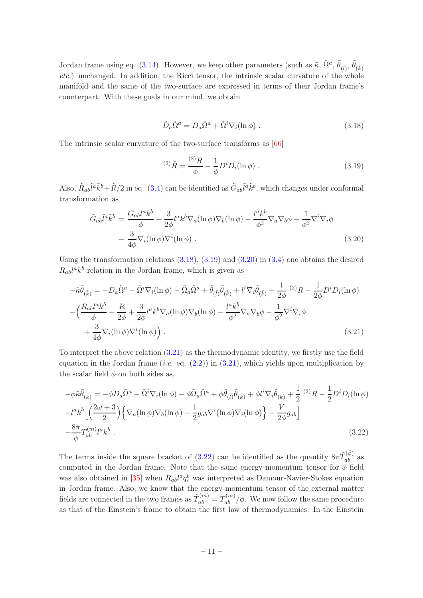Jordan frame using eq. [\(3.14\)](#page-10-0). However, we keep other parameters (such as  $\tilde{\kappa}$ ,  $\tilde{\Omega}^a$ ,  $\tilde{\theta}$ <sub>( $\tilde{\ell}$ )</sub>,  $\tilde{\theta}$ <sub>( $\tilde{k}$ )</sub> *etc.*) unchanged. In addition, the Ricci tensor, the intrinsic scalar curvature of the whole manifold and the same of the two-surface are expressed in terms of their Jordan frame's counterpart. With these goals in our mind, we obtain

<span id="page-11-1"></span>
$$
\tilde{D}_a \tilde{\Omega}^a = D_a \tilde{\Omega}^a + \tilde{\Omega}^i \nabla_i (\ln \phi) . \qquad (3.18)
$$

The intrinsic scalar curvature of the two-surface transforms as [\[66](#page-32-7)]

<span id="page-11-2"></span>
$$
^{(2)}\tilde{R} = \frac{^{(2)}R}{\phi} - \frac{1}{\phi}D^iD_i(\ln \phi) \ . \tag{3.19}
$$

Also,  $\tilde{R}_{ab}\tilde{l}^a\tilde{k}^b + \tilde{R}/2$  in eq. [\(3.4\)](#page-7-1) can be identified as  $\tilde{G}_{ab}\tilde{l}^a\tilde{k}^b$ , which changes under conformal transformation as

<span id="page-11-3"></span>
$$
\tilde{G}_{ab}\tilde{l}^a\tilde{k}^b = \frac{G_{ab}l^ak^b}{\phi} + \frac{3}{2\phi}l^ak^b\nabla_a(\ln\phi)\nabla_b(\ln\phi) - \frac{l^ak^b}{\phi^2}\nabla_a\nabla_b\phi - \frac{1}{\phi^2}\nabla^i\nabla_i\phi
$$

$$
+ \frac{3}{4\phi}\nabla_i(\ln\phi)\nabla^i(\ln\phi) .
$$
\n(3.20)

Using the transformation relations  $(3.18)$ ,  $(3.19)$  and  $(3.20)$  in  $(3.4)$  one obtains the desired  $R_{ab}l^a k^b$  relation in the Jordan frame, which is given as

<span id="page-11-0"></span>
$$
-\tilde{\kappa}\tilde{\theta}_{(\tilde{k})} = -D_a \tilde{\Omega}^a - \tilde{\Omega}^i \nabla_i (\ln \phi) - \tilde{\Omega}_a \tilde{\Omega}^a + \tilde{\theta}_{(\tilde{l})} \tilde{\theta}_{(\tilde{k})} + l^i \nabla_i \tilde{\theta}_{(\tilde{k})} + \frac{1}{2\phi} (2) R - \frac{1}{2\phi} D^i D_i (\ln \phi)
$$

$$
-\left(\frac{R_{ab}l^a k^b}{\phi} + \frac{R}{2\phi} + \frac{3}{2\phi} l^a k^b \nabla_a (\ln \phi) \nabla_b (\ln \phi) - \frac{l^a k^b}{\phi^2} \nabla_a \nabla_b \phi - \frac{1}{\phi^2} \nabla^i \nabla_i \phi + \frac{3}{4\phi} \nabla_i (\ln \phi) \nabla^i (\ln \phi) \right).
$$
(3.21)

To interpret the above relation [\(3.21\)](#page-11-0) as the thermodynamic identity, we firstly use the field equation in the Jordan frame (*i.e.* eq.  $(2.2)$ ) in  $(3.21)$ , which yields upon multiplication by the scalar field  $\phi$  on both sides as,

<span id="page-11-4"></span>
$$
-\phi\tilde{\kappa}\tilde{\theta}_{(\tilde{k})} = -\phi D_a \tilde{\Omega}^a - \tilde{\Omega}^i \nabla_i (\ln \phi) - \phi \tilde{\Omega}_a \tilde{\Omega}^a + \phi \tilde{\theta}_{(\tilde{l})} \tilde{\theta}_{(\tilde{k})} + \phi l^i \nabla_i \tilde{\theta}_{(\tilde{k})} + \frac{1}{2} (2R - \frac{1}{2} D^i D_i (\ln \phi) -l^a k^b \left[ \left( \frac{2\omega + 3}{2} \right) \left\{ \nabla_a (\ln \phi) \nabla_b (\ln \phi) - \frac{1}{2} g_{ab} \nabla^i (\ln \phi) \nabla_i (\ln \phi) \right\} - \frac{V}{2\phi} g_{ab} \right] - \frac{8\pi}{\phi} T_{ab}^{(m)} l^a k^b .
$$
\n(3.22)

The terms inside the square bracket of [\(3.22\)](#page-11-4) can be identified as the quantity  $8\pi \tilde{T}_{ab}^{(\tilde{\phi})}$  as computed in the Jordan frame. Note that the same energy-momentum tensor for  $\phi$  field was also obtained in [\[35](#page-30-5)] when  $R_{ab}l^a q_c^b$  was interpreted as Damour-Navier-Stokes equation in Jordan frame. Also, we know that the energy-momentum tensor of the external matter fields are connected in the two frames as  $\tilde{T}_{ab}^{(m)} = T_{ab}^{(m)}/\phi$ . We now follow the same procedure as that of the Einstein's frame to obtain the first law of thermodynamics. In the Einstein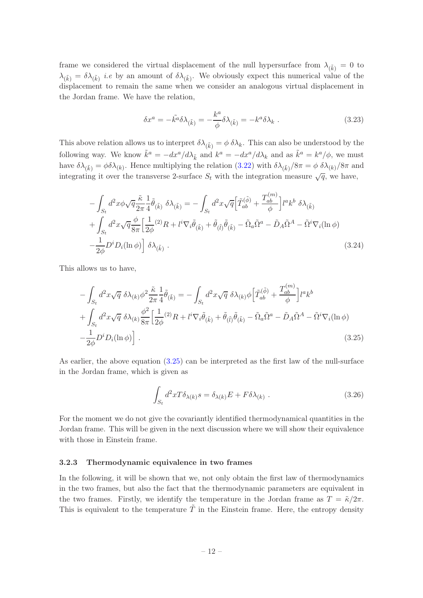frame we considered the virtual displacement of the null hypersurface from  $\lambda_{(\tilde{k})} = 0$  to  $\lambda_{(\tilde{k})} = \delta \lambda_{(\tilde{k})}$  *i.e* by an amount of  $\delta \lambda_{(\tilde{k})}$ . We obviously expect this numerical value of the displacement to remain the same when we consider an analogous virtual displacement in the Jordan frame. We have the relation,

$$
\delta x^a = -\tilde{k^a}\delta \lambda_{(\tilde{k})} = -\frac{k^a}{\phi}\delta \lambda_{(\tilde{k})} = -k^a \delta \lambda_k . \qquad (3.23)
$$

This above relation allows us to interpret  $\delta \lambda_{(\tilde{k})} = \phi \, \delta \lambda_k$ . This can also be understood by the following way. We know  $\tilde{k}^a = -dx^a/d\lambda_{\tilde{k}}$  and  $k^a = -dx^a/d\lambda_k$  and as  $\tilde{k}^a = k^a/\phi$ , we must have  $\delta\lambda_{(\tilde{k})} = \phi \delta\lambda_{(k)}$ . Hence multiplying the relation  $(3.22)$  with  $\delta\lambda_{(\tilde{k})}/8\pi = \phi \delta\lambda_{(k)}/8\pi$  and integrating it over the transverse 2-surface  $S_t$  with the integration measure  $\sqrt{q}$ , we have,

$$
-\int_{S_t} d^2x \phi \sqrt{q} \frac{\tilde{\kappa}}{2\pi} \frac{1}{4} \tilde{\theta}_{(\tilde{k})} \delta \lambda_{(\tilde{k})} = -\int_{S_t} d^2x \sqrt{q} \Big[ \tilde{T}_{ab}^{(\tilde{\phi})} + \frac{T_{ab}^{(m)}}{\phi} \Big] l^a k^b \delta \lambda_{(\tilde{k})} + \int_{S_t} d^2x \sqrt{q} \frac{\phi}{8\pi} \Big[ \frac{1}{2\phi} (2) R + l^i \nabla_i \tilde{\theta}_{(\tilde{k})} + \tilde{\theta}_{(\tilde{l})} \tilde{\theta}_{(\tilde{k})} - \tilde{\Omega}_a \tilde{\Omega}^a - \tilde{D}_A \tilde{\Omega}^A - \tilde{\Omega}^i \nabla_i (\ln \phi) - \frac{1}{2\phi} D^i D_i (\ln \phi) \Big] \delta \lambda_{(\tilde{k})} .
$$
\n(3.24)

This allows us to have,

<span id="page-12-1"></span>
$$
-\int_{S_t} d^2x \sqrt{q} \, \delta\lambda_{(k)} \phi^2 \frac{\tilde{\kappa}}{2\pi} \frac{1}{4} \tilde{\theta}_{(\tilde{k})} = -\int_{S_t} d^2x \sqrt{q} \, \delta\lambda_{(k)} \phi \Big[ \tilde{T}_{ab}^{(\tilde{\phi})} + \frac{T_{ab}^{(m)}}{\phi} \Big] l^a k^b
$$

$$
+\int_{S_t} d^2x \sqrt{q} \, \delta\lambda_{(k)} \frac{\phi^2}{8\pi} \Big[ \frac{1}{2\phi} {}^{(2)}R + l^i \nabla_i \tilde{\theta}_{(\tilde{k})} + \tilde{\theta}_{(\tilde{l})} \tilde{\theta}_{(\tilde{k})} - \tilde{\Omega}_a \tilde{\Omega}^a - \tilde{D}_A \tilde{\Omega}^A - \tilde{\Omega}^i \nabla_i (\ln \phi) - \frac{1}{2\phi} D^i D_i (\ln \phi) \Big].
$$
(3.25)

As earlier, the above equation [\(3.25\)](#page-12-1) can be interpreted as the first law of the null-surface in the Jordan frame, which is given as

$$
\int_{S_t} d^2x T \delta_{\lambda(k)} s = \delta_{\lambda(k)} E + F \delta \lambda_{(k)} . \qquad (3.26)
$$

For the moment we do not give the covariantly identified thermodynamical quantities in the Jordan frame. This will be given in the next discussion where we will show their equivalence with those in Einstein frame.

## <span id="page-12-0"></span>3.2.3 Thermodynamic equivalence in two frames

In the following, it will be shown that we, not only obtain the first law of thermodynamics in the two frames, but also the fact that the thermodynamic parameters are equivalent in the two frames. Firstly, we identify the temperature in the Jordan frame as  $T = \tilde{\kappa}/2\pi$ . This is equivalent to the temperature  $\tilde{T}$  in the Einstein frame. Here, the entropy density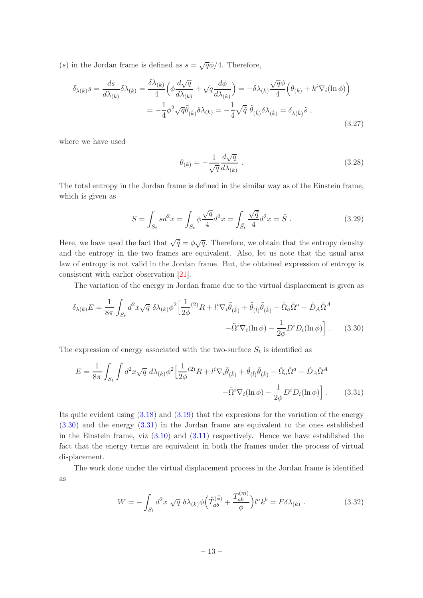(s) in the Jordan frame is defined as  $s = \sqrt{q}\phi/4$ . Therefore,

$$
\delta_{\lambda(k)}s = \frac{ds}{d\lambda_{(k)}}\delta\lambda_{(k)} = \frac{\delta\lambda_{(k)}}{4}\left(\phi\frac{d\sqrt{q}}{d\lambda_{(k)}} + \sqrt{q}\frac{d\phi}{d\lambda_{(k)}}\right) = -\delta\lambda_{(k)}\frac{\sqrt{q}\phi}{4}\left(\theta_{(k)} + k^i\nabla_i(\ln\phi)\right)
$$

$$
= -\frac{1}{4}\phi^2\sqrt{q}\tilde{\theta}_{(\tilde{k})}\delta\lambda_{(k)} = -\frac{1}{4}\sqrt{\tilde{q}}\ \tilde{\theta}_{(\tilde{k})}\delta\lambda_{(\tilde{k})} = \delta_{\lambda(\tilde{k})}\tilde{s} \ , \tag{3.27}
$$

where we have used

<span id="page-13-0"></span>
$$
\theta_{(k)} = -\frac{1}{\sqrt{q}} \frac{d\sqrt{q}}{d\lambda_{(k)}}.
$$
\n(3.28)

The total entropy in the Jordan frame is defined in the similar way as of the Einstein frame, which is given as

$$
S = \int_{S_t} s d^2 x = \int_{S_t} \phi \frac{\sqrt{q}}{4} d^2 x = \int_{\tilde{S}_t} \frac{\sqrt{\tilde{q}}}{4} d^2 x = \tilde{S} . \tag{3.29}
$$

Here, we have used the fact that  $\sqrt{\tilde{q}} = \phi \sqrt{q}$ . Therefore, we obtain that the entropy density and the entropy in the two frames are equivalent. Also, let us note that the usual area law of entropy is not valid in the Jordan frame. But, the obtained expression of entropy is consistent with earlier observation [\[21](#page-30-7)].

The variation of the energy in Jordan frame due to the virtual displacement is given as

$$
\delta_{\lambda(k)}E = \frac{1}{8\pi} \int_{S_t} d^2x \sqrt{q} \ \delta\lambda_{(k)}\phi^2 \Big[ \frac{1}{2\phi}^{(2)}R + l^i \nabla_i \tilde{\theta}_{(\tilde{k})} + \tilde{\theta}_{(\tilde{l})}\tilde{\theta}_{(\tilde{k})} - \tilde{\Omega}_a \tilde{\Omega}^a - \tilde{D}_A \tilde{\Omega}^A - \tilde{D}_A \tilde{\Omega}^A \Big] \times \left[ -\tilde{\Omega}^i \nabla_i (\ln \phi) - \frac{1}{2\phi} D^i D_i (\ln \phi) \right].
$$
 (3.30)

The expression of energy associated with the two-surface  $S_t$  is identified as

$$
E = \frac{1}{8\pi} \int_{S_t} \int d^2x \sqrt{q} \ d\lambda_{(k)} \phi^2 \left[ \frac{1}{2\phi}{}^{(2)}R + l^i \nabla_i \tilde{\theta}_{(\tilde{k})} + \tilde{\theta}_{(\tilde{l})} \tilde{\theta}_{(\tilde{k})} - \tilde{\Omega}_a \tilde{\Omega}^a - \tilde{D}_A \tilde{\Omega}^A \right. \\ \left. - \tilde{\Omega}^i \nabla_i (\ln \phi) - \frac{1}{2\phi} D^i D_i (\ln \phi) \right]. \tag{3.31}
$$

Its quite evident using  $(3.18)$  and  $(3.19)$  that the expresions for the variation of the energy [\(3.30\)](#page-13-0) and the energy [\(3.31\)](#page-13-1) in the Jordan frame are equivalent to the ones established in the Einstein frame, viz  $(3.10)$  and  $(3.11)$  respectively. Hence we have established the fact that the energy terms are equivalent in both the frames under the process of virtual displacement.

The work done under the virtual displacement process in the Jordan frame is identified as

<span id="page-13-1"></span>
$$
W = -\int_{S_t} d^2x \sqrt{q} \delta\lambda_{(k)}\phi \Big(\tilde{T}_{ab}^{(\tilde{\phi})} + \frac{T_{ab}^{(m)}}{\phi}\Big)l^a k^b = F\delta\lambda_{(k)} . \tag{3.32}
$$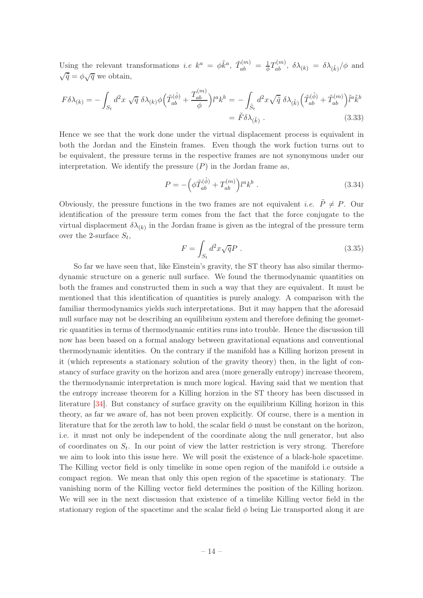Using the relevant transformations *i.e*  $k^a = \phi \tilde{k}^a$ ,  $\tilde{T}_{ab}^{(m)} = \frac{1}{\phi} T_{ab}^{(m)}$ ,  $\delta \lambda_{(k)} = \delta \lambda_{(\tilde{k})}/\phi$  and  $\sqrt{\tilde{q}} = \phi \sqrt{q}$  we obtain,

$$
F\delta\lambda_{(k)} = -\int_{S_t} d^2x \sqrt{q} \delta\lambda_{(k)}\phi \Big(\tilde{T}_{ab}^{(\tilde{\phi})} + \frac{T_{ab}^{(m)}}{\phi}\Big)l^a k^b = -\int_{\tilde{S}_t} d^2x \sqrt{\tilde{q}} \delta\lambda_{(\tilde{k})} \Big(\tilde{T}_{ab}^{(\tilde{\phi})} + \tilde{T}_{ab}^{(m)}\Big)\tilde{l}^a \tilde{k}^b
$$

$$
= \tilde{F}\delta\lambda_{(\tilde{k})} . \tag{3.33}
$$

Hence we see that the work done under the virtual displacement process is equivalent in both the Jordan and the Einstein frames. Even though the work fuction turns out to be equivalent, the pressure terms in the respective frames are not synonymous under our interpretation. We identify the pressure  $(P)$  in the Jordan frame as,

$$
P = -\left(\phi \tilde{T}_{ab}^{(\tilde{\phi})} + T_{ab}^{(m)}\right) l^a k^b . \tag{3.34}
$$

Obviously, the pressure functions in the two frames are not equivalent *i.e.*  $\tilde{P} \neq P$ . Our identification of the pressure term comes from the fact that the force conjugate to the virtual displacement  $\delta \lambda_{(k)}$  in the Jordan frame is given as the integral of the pressure term over the 2-surface  $S_t$ ,

$$
F = \int_{S_t} d^2x \sqrt{q}P \tag{3.35}
$$

So far we have seen that, like Einstein's gravity, the ST theory has also similar thermodynamic structure on a generic null surface. We found the thermodynamic quantities on both the frames and constructed them in such a way that they are equivalent. It must be mentioned that this identification of quantities is purely analogy. A comparison with the familiar thermodynamics yields such interpretations. But it may happen that the aforesaid null surface may not be describing an equilibrium system and therefore defining the geometric quantities in terms of thermodynamic entities runs into trouble. Hence the discussion till now has been based on a formal analogy between gravitational equations and conventional thermodynamic identities. On the contrary if the manifold has a Killing horizon present in it (which represents a stationary solution of the gravity theory) then, in the light of constancy of surface gravity on the horizon and area (more generally entropy) increase theorem, the thermodynamic interpretation is much more logical. Having said that we mention that the entropy increase theorem for a Killing horzion in the ST theory has been discussed in literature [\[34](#page-30-6)]. But constancy of surface gravity on the equilibrium Killing horizon in this theory, as far we aware of, has not been proven explicitly. Of course, there is a mention in literature that for the zeroth law to hold, the scalar field  $\phi$  must be constant on the horizon, i.e. it must not only be independent of the coordinate along the null generator, but also of coordinates on  $S_t$ . In our point of view the latter restriction is very strong. Therefore we aim to look into this issue here. We will posit the existence of a black-hole spacetime. The Killing vector field is only timelike in some open region of the manifold i.e outside a compact region. We mean that only this open region of the spacetime is stationary. The vanishing norm of the Killing vector field determines the position of the Killing horizon. We will see in the next discussion that existence of a timelike Killing vector field in the stationary region of the spacetime and the scalar field  $\phi$  being Lie transported along it are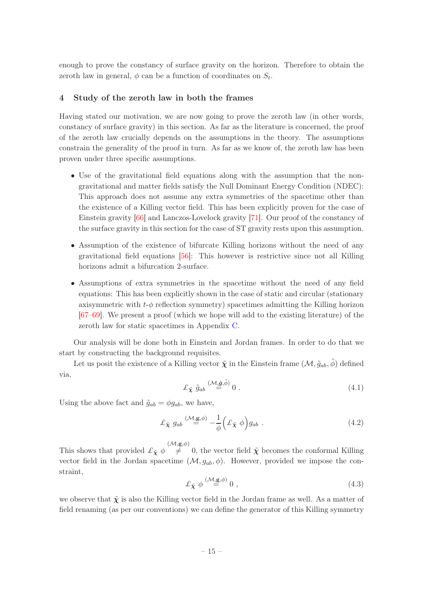enough to prove the constancy of surface gravity on the horizon. Therefore to obtain the zeroth law in general,  $\phi$  can be a function of coordinates on  $S_t$ .

## <span id="page-15-0"></span>4 Study of the zeroth law in both the frames

Having stated our motivation, we are now going to prove the zeroth law (in other words, constancy of surface gravity) in this section. As far as the literature is concerned, the proof of the zeroth law crucially depends on the assumptions in the theory. The assumptions constrain the generality of the proof in turn. As far as we know of, the zeroth law has been proven under three specific assumptions.

- Use of the gravitational field equations along with the assumption that the nongravitational and matter fields satisfy the Null Dominant Energy Condition (NDEC): This approach does not assume any extra symmetries of the spacetime other than the existence of a Killing vector field. This has been explicitly proven for the case of Einstein gravity [\[66](#page-32-7)] and Lanczos-Lovelock gravity [\[71\]](#page-32-11). Our proof of the constancy of the surface gravity in this section for the case of ST gravity rests upon this assumption.
- Assumption of the existence of bifurcate Killing horizons without the need of any gravitational field equations [\[56](#page-32-1)]: This however is restrictive since not all Killing horizons admit a bifurcation 2-surface.
- Assumptions of extra symmetries in the spacetime without the need of any field equations: This has been explicitly shown in the case of static and circular (stationary axisymmetric with  $t-\phi$  reflection symmetry) spacetimes admitting the Killing horizon [\[67](#page-32-12)[–69\]](#page-32-13). We present a proof (which we hope will add to the existing literature) of the zeroth law for static spacetimes in Appendix [C.](#page-26-0)

Our analysis will be done both in Einstein and Jordan frames. In order to do that we start by constructing the background requisites.

Let us posit the existence of a Killing vector  $\tilde{\chi}$  in the Einstein frame  $(\mathcal{M}, \tilde{g}_{ab}, \tilde{\phi})$  defined via,

<span id="page-15-2"></span>
$$
\pounds_{\tilde{\chi}} \tilde{g}_{ab} \stackrel{(\mathcal{M}, \tilde{\mathbf{g}}, \tilde{\phi})}{=} 0 . \tag{4.1}
$$

Using the above fact and  $\tilde{g}_{ab} = \phi g_{ab}$ , we have,

$$
\pounds_{\tilde{\mathbf{X}}} g_{ab} \stackrel{(\mathcal{M}, \mathbf{g}, \phi)}{=} -\frac{1}{\phi} \left( \pounds_{\tilde{\mathbf{X}}} \phi \right) g_{ab} . \tag{4.2}
$$

This shows that provided  $\mathcal{L}_{\tilde{\mathbf{X}}} \phi \stackrel{(\mathcal{M}, \mathbf{g}, \phi)}{\neq}$  $\neq$  0, the vector field  $\tilde{\chi}$  becomes the conformal Killing vector field in the Jordan spacetime  $(M, g_{ab}, \phi)$ . However, provided we impose the constraint,

<span id="page-15-1"></span>
$$
\pounds_{\tilde{\mathbf{X}}} \phi \stackrel{(\mathcal{M}, \mathbf{g}, \phi)}{=} 0 , \qquad (4.3)
$$

we observe that  $\tilde{\chi}$  is also the Killing vector field in the Jordan frame as well. As a matter of field renaming (as per our conventions) we can define the generator of this Killing symmetry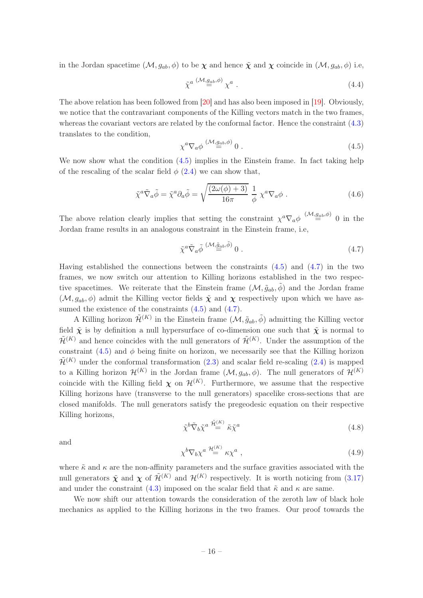in the Jordan spacetime  $(M, g_{ab}, \phi)$  to be  $\chi$  and hence  $\tilde{\chi}$  and  $\chi$  coincide in  $(M, g_{ab}, \phi)$  i.e,

$$
\tilde{\chi}^{a} \stackrel{(\mathcal{M}, g_{ab}, \phi)}{=} \chi^{a} \ . \tag{4.4}
$$

The above relation has been followed from [\[20](#page-30-8)] and has also been imposed in [\[19\]](#page-29-9). Obviously, we notice that the contravariant components of the Killing vectors match in the two frames, whereas the covariant vectors are related by the conformal factor. Hence the constraint [\(4.3\)](#page-15-1) translates to the condition,

<span id="page-16-0"></span>
$$
\chi^a \nabla_a \phi \stackrel{(\mathcal{M}, g_{ab}, \phi)}{=} 0 \tag{4.5}
$$

We now show what the condition  $(4.5)$  implies in the Einstein frame. In fact taking help of the rescaling of the scalar field  $\phi$  [\(2.4\)](#page-5-5) we can show that,

$$
\tilde{\chi}^a \tilde{\nabla}_a \tilde{\phi} = \tilde{\chi}^a \partial_a \tilde{\phi} = \sqrt{\frac{(2\omega(\phi) + 3)}{16\pi}} \frac{1}{\phi} \chi^a \nabla_a \phi . \tag{4.6}
$$

The above relation clearly implies that setting the constraint  $\chi^a \nabla_a \phi \stackrel{(\mathcal{M},g_{ab},\phi)}{=} 0$  in the Jordan frame results in an analogous constraint in the Einstein frame, i.e,

<span id="page-16-1"></span>
$$
\tilde{\chi}^a \tilde{\nabla}_a \tilde{\phi} \stackrel{(\mathcal{M}, \tilde{g}_{ab}, \tilde{\phi})}{=} 0 \tag{4.7}
$$

Having established the connections between the constraints  $(4.5)$  and  $(4.7)$  in the two frames, we now switch our attention to Killing horizons established in the two respective spacetimes. We reiterate that the Einstein frame  $(\mathcal{M}, \tilde{g}_{ab}, \phi)$  and the Jordan frame  $(\mathcal{M}, g_{ab}, \phi)$  admit the Killing vector fields  $\tilde{\chi}$  and  $\chi$  respectively upon which we have assumed the existence of the constraints  $(4.5)$  and  $(4.7)$ .

A Killing horizon  $\tilde{\mathcal{H}}^{(K)}$  in the Einstein frame  $(\mathcal{M}, \tilde{g}_{ab}, \tilde{\phi})$  admitting the Killing vector field  $\tilde{\chi}$  is by definition a null hypersurface of co-dimension one such that  $\tilde{\chi}$  is normal to  $\tilde{\mathcal{H}}^{(K)}$  and hence coincides with the null generators of  $\tilde{\mathcal{H}}^{(K)}$ . Under the assumption of the constraint  $(4.5)$  and  $\phi$  being finite on horizon, we necessarily see that the Killing horizon  $\tilde{\mathcal{H}}^{(K)}$  under the conformal transformation [\(2.3\)](#page-5-3) and scalar field re-scaling [\(2.4\)](#page-5-5) is mapped to a Killing horizon  $\mathcal{H}^{(K)}$  in the Jordan frame  $(\mathcal{M}, g_{ab}, \phi)$ . The null generators of  $\mathcal{H}^{(K)}$ coincide with the Killing field  $\chi$  on  $\mathcal{H}^{(K)}$ . Furthermore, we assume that the respective Killing horizons have (transverse to the null generators) spacelike cross-sections that are closed manifolds. The null generators satisfy the pregeodesic equation on their respective Killing horizons,

<span id="page-16-2"></span>
$$
\tilde{\chi}^b \tilde{\nabla}_b \tilde{\chi}^a \stackrel{\tilde{\mathcal{H}}^{(K)}}{=} \tilde{\kappa} \tilde{\chi}^a \tag{4.8}
$$

and

<span id="page-16-3"></span>
$$
\chi^b \nabla_b \chi^a \stackrel{\mathcal{H}^{(K)}}{=} \kappa \chi^a \;, \tag{4.9}
$$

where  $\tilde{\kappa}$  and  $\kappa$  are the non-affinity parameters and the surface gravities associated with the null generators  $\tilde{\chi}$  and  $\chi$  of  $\tilde{\mathcal{H}}^{(K)}$  and  $\mathcal{H}^{(K)}$  respectively. It is worth noticing from [\(3.17\)](#page-10-2) and under the constraint [\(4.3\)](#page-15-1) imposed on the scalar field that  $\tilde{\kappa}$  and  $\kappa$  are same.

We now shift our attention towards the consideration of the zeroth law of black hole mechanics as applied to the Killing horizons in the two frames. Our proof towards the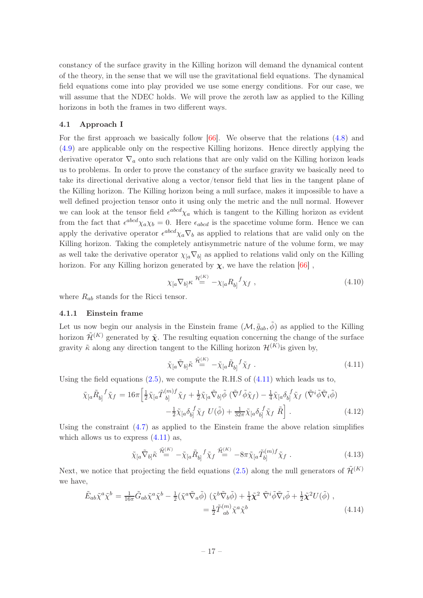constancy of the surface gravity in the Killing horizon will demand the dynamical content of the theory, in the sense that we will use the gravitational field equations. The dynamical field equations come into play provided we use some energy conditions. For our case, we will assume that the NDEC holds. We will prove the zeroth law as applied to the Killing horizons in both the frames in two different ways.

## <span id="page-17-0"></span>4.1 Approach I

For the first approach we basically follow  $[66]$ . We observe that the relations  $(4.8)$  and [\(4.9\)](#page-16-3) are applicable only on the respective Killing horizons. Hence directly applying the derivative operator  $\nabla_a$  onto such relations that are only valid on the Killing horizon leads us to problems. In order to prove the constancy of the surface gravity we basically need to take its directional derivative along a vector/tensor field that lies in the tangent plane of the Killing horizon. The Killing horizon being a null surface, makes it impossible to have a well defined projection tensor onto it using only the metric and the null normal. However we can look at the tensor field  $\epsilon^{abcd}\chi_a$  which is tangent to the Killing horizon as evident from the fact that  $\epsilon^{abcd}\chi_a\chi_b=0$ . Here  $\epsilon_{abcd}$  is the spacetime volume form. Hence we can apply the derivative operator  $\epsilon^{abcd}\chi_a\nabla_b$  as applied to relations that are valid only on the Killing horizon. Taking the completely antisymmetric nature of the volume form, we may as well take the derivative operator  $\chi_{a} \nabla_{b}$  as applied to relations valid only on the Killing horizon. For any Killing horizon generated by  $\chi$ , we have the relation [\[66](#page-32-7)],

<span id="page-17-4"></span>
$$
\chi_{[a}\nabla_{b]}\kappa \stackrel{\mathcal{H}^{(K)}}{=} -\chi_{[a}R_{b]}^{\ \ f}\chi_{f} \ , \tag{4.10}
$$

<span id="page-17-1"></span>where  $R_{ab}$  stands for the Ricci tensor.

#### 4.1.1 Einstein frame

Let us now begin our analysis in the Einstein frame  $(\mathcal{M}, \tilde{g}_{ab}, \tilde{\phi})$  as applied to the Killing horizon  $\tilde{\mathcal{H}}^{(K)}$  generated by  $\tilde{\mathbf{X}}$ . The resulting equation concerning the change of the surface gravity  $\tilde{\kappa}$  along any direction tangent to the Killing horizon  $\mathcal{H}^{(K)}$  is given by,

<span id="page-17-2"></span>
$$
\tilde{\chi}_{[a}\tilde{\nabla}_{b]}\tilde{\kappa} \stackrel{\tilde{\mathcal{H}}^{(K)}}{=} -\tilde{\chi}_{[a}\tilde{R}_{b]}^{\ \ f}\tilde{\chi}_{f} \ . \tag{4.11}
$$

Using the field equations  $(2.5)$ , we compute the R.H.S of  $(4.11)$  which leads us to,

$$
\tilde{\chi}_{[a}\tilde{R}_{b]}^{\quad f}\tilde{\chi}_{f} = 16\pi \left[ \frac{1}{2}\tilde{\chi}_{[a}\tilde{T}_{b]}^{(m)f}\tilde{\chi}_{f} + \frac{1}{2}\tilde{\chi}_{[a}\tilde{\nabla}_{b]}\tilde{\phi} \left( \tilde{\nabla}^{f}\tilde{\phi}\tilde{\chi}_{f} \right) - \frac{1}{4}\tilde{\chi}_{[a}\delta_{b]}^{\quad f}\tilde{\chi}_{f} \left( \tilde{\nabla}^{i}\tilde{\phi}\tilde{\nabla}_{i}\tilde{\phi} \right) \right. \\
\left. - \frac{1}{2}\tilde{\chi}_{[a}\delta_{b]}^{\quad f}\tilde{\chi}_{f} \ U(\tilde{\phi}) + \frac{1}{32\pi}\tilde{\chi}_{[a}\delta_{b]}^{\quad f}\tilde{\chi}_{f} \ \tilde{R} \right] \ . \tag{4.12}
$$

Using the constraint [\(4.7\)](#page-16-1) as applied to the Einstein frame the above relation simplifies which allows us to express  $(4.11)$  as,

<span id="page-17-3"></span>
$$
\tilde{\chi}_{[a}\tilde{\nabla}_{b]}\tilde{\kappa} \stackrel{\tilde{\mathcal{H}}^{(K)}}{=} -\tilde{\chi}_{[a}\tilde{R}_{b]}^{\ \ f}\tilde{\chi}_{f}^{\ \ \tilde{\mathcal{H}}^{(K)}} = -8\pi\tilde{\chi}_{[a}\tilde{T}_{b]}^{(m)f}\tilde{\chi}_{f} \ . \tag{4.13}
$$

Next, we notice that projecting the field equations [\(2.5\)](#page-5-2) along the null generators of  $\tilde{\mathcal{H}}^{(K)}$ we have,

$$
\tilde{E}_{ab}\tilde{\chi}^a\tilde{\chi}^b = \frac{1}{16\pi}\tilde{G}_{ab}\tilde{\chi}^a\tilde{\chi}^b - \frac{1}{2}(\tilde{\chi}^a\tilde{\nabla}_a\tilde{\phi})\left(\tilde{\chi}^b\tilde{\nabla}_b\tilde{\phi}\right) + \frac{1}{4}\tilde{\chi}^2\tilde{\nabla}^i\tilde{\phi}\tilde{\nabla}_i\tilde{\phi} + \frac{1}{2}\tilde{\chi}^2U(\tilde{\phi})\;,
$$
\n
$$
= \frac{1}{2}\tilde{T}^{(m)}_{ab}\tilde{\chi}^a\tilde{\chi}^b \tag{4.14}
$$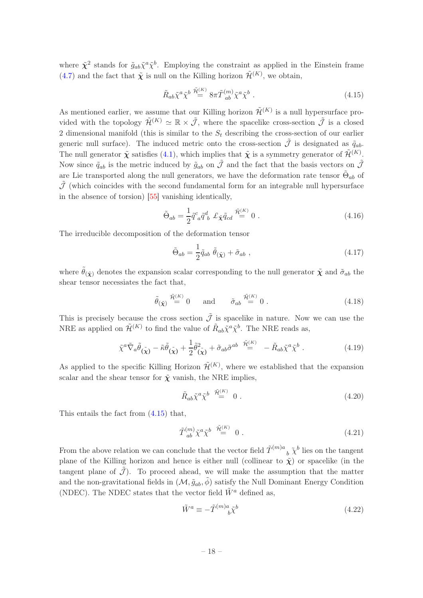where  $\tilde{\chi}^2$  stands for  $\tilde{g}_{ab}\tilde{\chi}^a\tilde{\chi}^b$ . Employing the constraint as applied in the Einstein frame [\(4.7\)](#page-16-1) and the fact that  $\tilde{\chi}$  is null on the Killing horizon  $\tilde{\mathcal{H}}^{(K)}$ , we obtain,

<span id="page-18-0"></span>
$$
\tilde{R}_{ab}\tilde{\chi}^a\tilde{\chi}^b \stackrel{\tilde{\mathcal{H}}^{(K)}}{=} 8\pi \tilde{T}^{(m)}_{ab}\tilde{\chi}^a\tilde{\chi}^b \ . \tag{4.15}
$$

As mentioned earlier, we assume that our Killing horizon  $\tilde{\mathcal{H}}^{(K)}$  is a null hypersurface provided with the topology  $\tilde{\mathcal{H}}^{(K)} \simeq \mathbb{R} \times \tilde{\mathcal{J}}$ , where the spacelike cross-section  $\tilde{\mathcal{J}}$  is a closed 2 dimensional manifold (this is similar to the  $S_t$  describing the cross-section of our earlier generic null surface). The induced metric onto the cross-section  $\tilde{\mathcal{J}}$  is designated as  $\tilde{q}_{ab}$ . The null generator  $\tilde{\chi}$  satisfies [\(4.1\)](#page-15-2), which implies that  $\tilde{\chi}$  is a symmetry generator of  $\tilde{\mathcal{H}}^{(K)}$ . Now since  $\tilde{q}_{ab}$  is the metric induced by  $\tilde{g}_{ab}$  on  $\tilde{\mathcal{J}}$  and the fact that the basis vectors on  $\tilde{\mathcal{J}}$ are Lie transported along the null generators, we have the deformation rate tensor  $\tilde{\Theta}_{ab}$  of  $\tilde{\mathcal{J}}$  (which coincides with the second fundamental form for an integrable null hypersurface in the absence of torsion) [\[55](#page-32-0)] vanishing identically,

$$
\tilde{\Theta}_{ab} = \frac{1}{2} \tilde{q}^c_{\ a} \tilde{q}^d_{\ b} \ \mathcal{L}_{\tilde{\mathbf{X}}} \tilde{q}_{cd} \stackrel{\tilde{\mathcal{H}}^{(K)}}{=} 0 \ . \tag{4.16}
$$

The irreducible decomposition of the deformation tensor

$$
\tilde{\Theta}_{ab} = \frac{1}{2} \tilde{q}_{ab} \; \tilde{\theta}_{(\tilde{\chi})} + \tilde{\sigma}_{ab} \; , \tag{4.17}
$$

where  $\hat{\theta}_{(\tilde{\mathbf{x}})}$  denotes the expansion scalar corresponding to the null generator  $\tilde{\mathbf{x}}$  and  $\tilde{\sigma}_{ab}$  the shear tensor necessiates the fact that,

$$
\tilde{\theta}_{(\tilde{\mathbf{X}})} \stackrel{\tilde{\mathcal{H}}^{(K)}}{=} 0 \quad \text{and} \quad \tilde{\sigma}_{ab} \stackrel{\tilde{\mathcal{H}}^{(K)}}{=} 0. \tag{4.18}
$$

This is precisely because the cross section  $\tilde{\mathcal{J}}$  is spacelike in nature. Now we can use the NRE as applied on  $\tilde{\mathcal{H}}^{(K)}$  to find the value of  $\tilde{R}_{ab}\tilde{\chi}^a\tilde{\chi}^b$ . The NRE reads as,

$$
\tilde{\chi}^a \tilde{\nabla}_a \tilde{\theta}_{(\tilde{\chi})} - \tilde{\kappa} \tilde{\theta}_{(\tilde{\chi})} + \frac{1}{2} \tilde{\theta}_{(\tilde{\chi})}^2 + \tilde{\sigma}_{ab} \tilde{\sigma}^{ab} \stackrel{\tilde{\mathcal{H}}^{(K)}}{=} - \tilde{R}_{ab} \tilde{\chi}^a \tilde{\chi}^b . \tag{4.19}
$$

As applied to the specific Killing Horizon  $\tilde{\mathcal{H}}^{(K)}$ , where we established that the expansion scalar and the shear tensor for  $\tilde{\chi}$  vanish, the NRE implies,

$$
\tilde{R}_{ab}\tilde{\chi}^a\tilde{\chi}^b \stackrel{\tilde{\mathcal{H}}^{(K)}}{=} 0.
$$
\n(4.20)

This entails the fact from [\(4.15\)](#page-18-0) that,

$$
\tilde{T}^{(m)}_{ab}\tilde{\chi}^a\tilde{\chi}^b \stackrel{\tilde{\mathcal{H}}^{(K)}}{=} 0.
$$
\n(4.21)

From the above relation we can conclude that the vector field  $\tilde{T}^{(m)a}$  $\delta_b$   $\tilde{\chi}^b$  lies on the tangent plane of the Killing horizon and hence is either null (collinear to  $\tilde{\chi}$ ) or spacelike (in the tangent plane of  $\tilde{\mathcal{J}}$ ). To proceed ahead, we will make the assumption that the matter and the non-gravitational fields in  $(\mathcal{M}, \tilde{g}_{ab}, \tilde{\phi})$  satisfy the Null Dominant Energy Condition (NDEC). The NDEC states that the vector field  $\tilde{W}^a$  defined as,

$$
\tilde{W}^a \equiv -\tilde{T}^{(m)a}_{\quad b} \tilde{\chi}^b \tag{4.22}
$$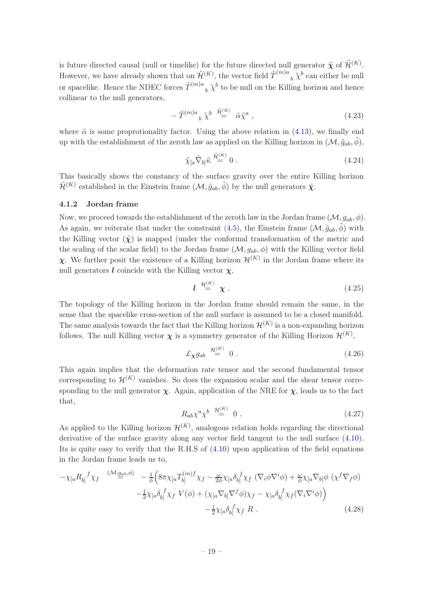is future directed causal (null or timelike) for the future directed null generator  $\tilde{\chi}$  of  $\tilde{\mathcal{H}}^{(K)}$ . However, we have already shown that on  $\tilde{\mathcal{H}}^{(K)}$ , the vector field  $\tilde{T}^{(m)a}$  $b \tilde{\chi}^b$  can either be null or spacelike. Hence the NDEC forces  $\tilde{T}^{(m)a}$  ${}_b\;\tilde{\chi}^b$  to be null on the Killing horizon and hence collinear to the null generators,

$$
- \tilde{T}^{(m)a}{}_b \tilde{\chi}^b \stackrel{\tilde{\mathcal{H}}^{(K)}}{=} \tilde{\alpha} \tilde{\chi}^a \,, \tag{4.23}
$$

where  $\tilde{\alpha}$  is some proprotionality factor. Using the above relation in [\(4.13\)](#page-17-3), we finally end up with the establishment of the zeroth law as applied on the Killing horizon in  $(\mathcal{M}, \tilde{g}_{ab}, \phi)$ ,

$$
\tilde{\chi}_{[a}\tilde{\nabla}_{b]}\tilde{\kappa}\stackrel{\tilde{\mathcal{H}}^{(K)}}{=}0\ .
$$
\n(4.24)

This basically shows the constancy of the surface gravity over the entire Killing horizon  $\tilde{\mathcal{H}}^{(K)}$  established in the Einstein frame  $(\mathcal{M}, \tilde{g}_{ab}, \tilde{\phi})$  by the null generators  $\tilde{\mathbf{X}}$ .

#### <span id="page-19-0"></span>4.1.2 Jordan frame

Now, we proceed towards the establishment of the zeroth law in the Jordan frame  $(\mathcal{M}, g_{ab}, \phi)$ . As again, we reiterate that under the constraint [\(4.5\)](#page-16-0), the Einstein frame  $(\mathcal{M}, \tilde{g}_{ab}, \phi)$  with the Killing vector  $(\tilde{\chi})$  is mapped (under the conformal transformation of the metric and the scaling of the scalar field) to the Jordan frame  $(M, g_{ab}, \phi)$  with the Killing vector field  $\chi$ . We further posit the existence of a Killing horizon  $\mathcal{H}^{(K)}$  in the Jordan frame where its null generators  $\boldsymbol{l}$  coincide with the Killing vector  $\boldsymbol{\chi}$ ,

$$
l \stackrel{\mathcal{H}^{(K)}}{=} \chi \ . \tag{4.25}
$$

The topology of the Killing horizon in the Jordan frame should remain the same, in the sense that the spacelike cross-section of the null surface is assumed to be a closed manifold. The same analysis towards the fact that the Killing horizon  $\mathcal{H}^{(K)}$  is a non-expanding horizon follows. The null Killing vector  $\chi$  is a symmetry generator of the Killing Horizon  $\mathcal{H}^{(K)}$ ,

$$
\pounds_{\chi} g_{ab} \stackrel{\mathcal{H}^{(K)}}{=} 0 \tag{4.26}
$$

This again implies that the deformation rate tensor and the second fundamental tensor corresponding to  $\mathcal{H}^{(K)}$  vanishes. So does the expansion scalar and the shear tensor corresponding to the null generator  $\chi$ . Again, application of the NRE for  $\chi$ , leads us to the fact that,

<span id="page-19-1"></span>
$$
R_{ab}\chi^a \chi^b \stackrel{\mathcal{H}^{(K)}}{=} 0 \ . \tag{4.27}
$$

As applied to the Killing horizon  $\mathcal{H}^{(K)}$ , analogous relation holds regarding the directional derivative of the surface gravity along any vector field tangent to the null surface [\(4.10\)](#page-17-4). Its is quite easy to verify that the R.H.S of [\(4.10\)](#page-17-4) upon application of the field equations in the Jordan frame leads us to,

$$
-\chi_{[a}R_{b]}{}^{f}\chi_{f} \xrightarrow{(\mathcal{M},g_{ab},\phi)} -\frac{1}{\phi} \Big( 8\pi \chi_{[a}T_{b]}^{(m)f} \chi_{f} - \frac{\omega}{2\phi} \chi_{[a} \delta_{b]}{}^{f} \chi_{f} \left( \nabla_{i}\phi \nabla^{i}\phi \right) + \frac{\omega}{\phi} \chi_{[a} \nabla_{b]} \phi \left( \chi^{f} \nabla_{f} \phi \right) - \frac{1}{2} \chi_{[a} \delta_{b]}{}^{f} \chi_{f} V(\phi) + \left( \chi_{[a} \nabla_{b]} \nabla^{f} \phi \right) \chi_{f} - \chi_{[a} \delta_{b]}{}^{f} \chi_{f} (\nabla_{i} \nabla^{i}\phi) \Big) - \frac{1}{2} \chi_{[a} \delta_{b]}{}^{f} \chi_{f} R .
$$
\n(4.28)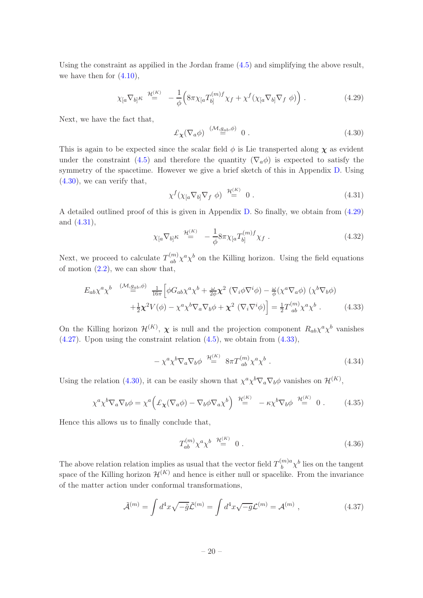Using the constraint as appilied in the Jordan frame [\(4.5\)](#page-16-0) and simplifying the above result, we have then for  $(4.10)$ ,

<span id="page-20-2"></span>
$$
\chi_{[a}\nabla_{b]}\kappa \stackrel{\mathcal{H}^{(K)}}{=} -\frac{1}{\phi} \Big(8\pi\chi_{[a}T_{b]}^{(m)f}\chi_{f} + \chi^{f}(\chi_{[a}\nabla_{b]}\nabla_{f}\phi)\Big) . \tag{4.29}
$$

Next, we have the fact that,

<span id="page-20-1"></span>
$$
\pounds_{\pmb{\chi}} (\nabla_a \phi) \stackrel{(\mathcal{M}, g_{ab}, \phi)}{=} 0 \tag{4.30}
$$

This is again to be expected since the scalar field  $\phi$  is Lie transperted along  $\chi$  as evident under the constraint [\(4.5\)](#page-16-0) and therefore the quantity ( $\nabla_a \phi$ ) is expected to satisfy the symmetry of the spacetime. However we give a brief sketch of this in Appendix [D.](#page-28-0) Using  $(4.30)$ , we can verify that,

<span id="page-20-0"></span>
$$
\chi^f(\chi_{[a}\nabla_{b]}\nabla_f \phi) \stackrel{\mathcal{H}^{(K)}}{=} 0.
$$
\n(4.31)

A detailed outlined proof of this is given in Appendix [D.](#page-28-0) So finally, we obtain from [\(4.29\)](#page-20-2) and [\(4.31\)](#page-20-0),

<span id="page-20-4"></span>
$$
\chi_{[a}\nabla_{b]}\kappa \stackrel{\mathcal{H}^{(K)}}{=} -\frac{1}{\phi} 8\pi \chi_{[a} T_{b]}^{(m)f} \chi_f . \qquad (4.32)
$$

Next, we proceed to calculate  $T_{ab}^{(m)} \chi^a \chi^b$  on the Killing horizon. Using the field equations of motion  $(2.2)$ , we can show that,

<span id="page-20-3"></span>
$$
E_{ab}\chi^{a}\chi^{b} \xrightarrow{(\mathcal{M}, g_{ab}, \phi)} \frac{1}{16\pi} \Big[ \phi G_{ab}\chi^{a}\chi^{b} + \frac{\omega}{2\phi}\chi^{2} \left( \nabla_{i}\phi \nabla^{i}\phi \right) - \frac{\omega}{\phi} \left( \chi^{a}\nabla_{a}\phi \right) \left( \chi^{b}\nabla_{b}\phi \right) + \frac{1}{2}\chi^{2}V(\phi) - \chi^{a}\chi^{b}\nabla_{a}\nabla_{b}\phi + \chi^{2} \left( \nabla_{i}\nabla^{i}\phi \right) \Big] = \frac{1}{2}T^{(m)}_{ab}\chi^{a}\chi^{b} . \tag{4.33}
$$

On the Killing horizon  $\mathcal{H}^{(K)}$ ,  $\chi$  is null and the projection component  $R_{ab}\chi^a\chi^b$  vanishes  $(4.27)$ . Upon using the constraint relation  $(4.5)$ , we obtain from  $(4.33)$ ,

$$
-\chi^a \chi^b \nabla_a \nabla_b \phi \stackrel{\mathcal{H}(K)}{=} 8\pi T^{(m)}_{ab} \chi^a \chi^b . \qquad (4.34)
$$

Using the relation [\(4.30\)](#page-20-1), it can be easily shown that  $\chi^a \chi^b \nabla_a \nabla_b \phi$  vanishes on  $\mathcal{H}^{(K)}$ ,

$$
\chi^a \chi^b \nabla_a \nabla_b \phi = \chi^a \Big( \pounds_{\mathbf{X}} (\nabla_a \phi) - \nabla_b \phi \nabla_a \chi^b \Big) \stackrel{\mathcal{H}^{(K)}}{=} -\kappa \chi^b \nabla_b \phi \stackrel{\mathcal{H}^{(K)}}{=} 0 \ . \tag{4.35}
$$

Hence this allows us to finally conclude that,

$$
T_{ab}^{(m)} \chi^a \chi^b \stackrel{\mathcal{H}^{(K)}}{=} 0 \ . \tag{4.36}
$$

The above relation relation implies as usual that the vector field  $T_h^{(m)a}$  $\int_b^{m)a} \chi^b$  lies on the tangent space of the Killing horizon  $\mathcal{H}^{(K)}$  and hence is either null or spacelike. From the invariance of the matter action under conformal transformations,

$$
\tilde{\mathcal{A}}^{(m)} = \int d^4x \sqrt{-\tilde{g}} \tilde{\mathcal{L}}^{(m)} = \int d^4x \sqrt{-g} \mathcal{L}^{(m)} = \mathcal{A}^{(m)} , \qquad (4.37)
$$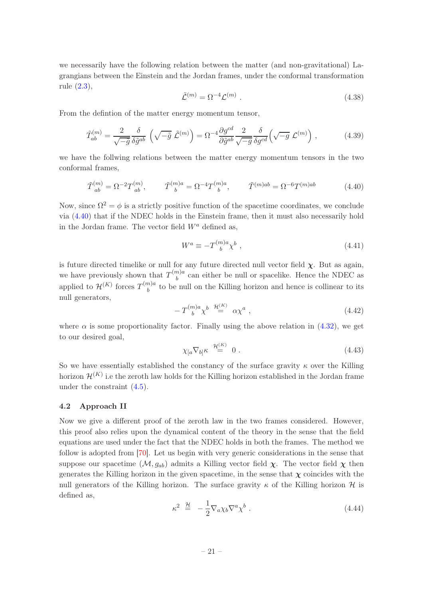we necessarily have the following relation between the matter (and non-gravitational) Lagrangians between the Einstein and the Jordan frames, under the conformal transformation rule [\(2.3\)](#page-5-3),

$$
\tilde{\mathcal{L}}^{(m)} = \Omega^{-4} \mathcal{L}^{(m)} \ . \tag{4.38}
$$

From the defintion of the matter energy momentum tensor,

$$
\tilde{T}_{ab}^{(m)} = \frac{2}{\sqrt{-\tilde{g}}} \frac{\delta}{\delta \tilde{g}^{ab}} \left( \sqrt{-\tilde{g}} \tilde{\mathcal{L}}^{(m)} \right) = \Omega^{-4} \frac{\partial g^{cd}}{\partial \tilde{g}^{ab}} \frac{2}{\sqrt{-g}} \frac{\delta}{\delta g^{cd}} \left( \sqrt{-g} \mathcal{L}^{(m)} \right) ,\qquad (4.39)
$$

we have the follwing relations between the matter energy momentum tensors in the two conformal frames,

<span id="page-21-1"></span>
$$
\tilde{T}_{ab}^{(m)} = \Omega^{-2} T_{ab}^{(m)}, \qquad \tilde{T}_{b}^{(m)a} = \Omega^{-4} T_{b}^{(m)a}, \qquad \tilde{T}^{(m)ab} = \Omega^{-6} T_{b}^{(m)ab}
$$
\n(4.40)

Now, since  $\Omega^2 = \phi$  is a strictly positive function of the spacetime coordinates, we conclude via [\(4.40\)](#page-21-1) that if the NDEC holds in the Einstein frame, then it must also necessarily hold in the Jordan frame. The vector field  $W^a$  defined as,

$$
W^a \equiv -T^{(m)a}_{\quad b} \chi^b \ , \tag{4.41}
$$

is future directed timelike or null for any future directed null vector field  $\chi$ . But as again, we have previously shown that  $T^{(m)a}_{\phantom{(m)a}}$  $b<sub>b</sub>$ <sup>n/a</sup> can either be null or spacelike. Hence the NDEC as applied to  $\mathcal{H}^{(K)}$  forces  $T^{(m)a}_{\quad b}$  $b<sub>b</sub>$  to be null on the Killing horizon and hence is collinear to its null generators,

$$
-T^{(m)a}_{\ b} \chi^b \stackrel{\mathcal{H}^{(K)}}{=} \alpha \chi^a \ , \tag{4.42}
$$

where  $\alpha$  is some proportionality factor. Finally using the above relation in [\(4.32\)](#page-20-4), we get to our desired goal,

$$
\chi_{[a}\nabla_{b]}\kappa \stackrel{\mathcal{H}^{(K)}}{=} 0.
$$
 (4.43)

So we have essentially established the constancy of the surface gravity  $\kappa$  over the Killing horizon  $\mathcal{H}^{(K)}$  i.e the zeroth law holds for the Killing horizon established in the Jordan frame under the constraint [\(4.5\)](#page-16-0).

#### <span id="page-21-0"></span>4.2 Approach II

Now we give a different proof of the zeroth law in the two frames considered. However, this proof also relies upon the dynamical content of the theory in the sense that the field equations are used under the fact that the NDEC holds in both the frames. The method we follow is adopted from [\[70\]](#page-32-14). Let us begin with very generic considerations in the sense that suppose our spacetime  $(M, g_{ab})$  admits a Killing vector field  $\chi$ . The vector field  $\chi$  then generates the Killing horizon in the given spacetime, in the sense that  $\chi$  coincides with the null generators of the Killing horizon. The surface gravity  $\kappa$  of the Killing horizon  $\mathcal{H}$  is defined as,

<span id="page-21-2"></span>
$$
\kappa^2 \stackrel{\mathcal{H}}{=} -\frac{1}{2} \nabla_a \chi_b \nabla^a \chi^b \ . \tag{4.44}
$$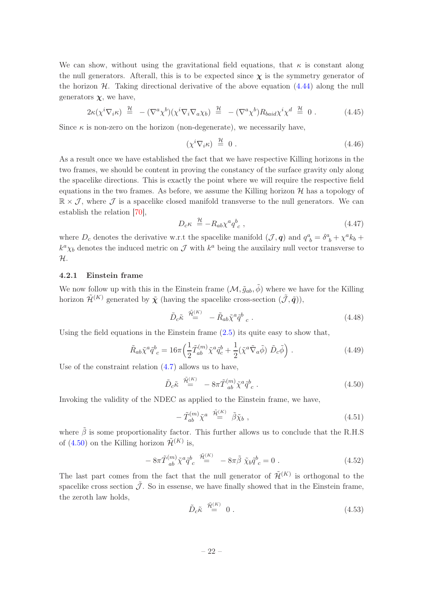We can show, without using the gravitational field equations, that  $\kappa$  is constant along the null generators. Afterall, this is to be expected since  $\chi$  is the symmetry generator of the horizon  $H$ . Taking directional derivative of the above equation  $(4.44)$  along the null generators  $\chi$ , we have,

$$
2\kappa(\chi^i \nabla_i \kappa) \stackrel{\mathcal{H}}{=} -(\nabla^a \chi^b)(\chi^i \nabla_i \nabla_a \chi_b) \stackrel{\mathcal{H}}{=} -(\nabla^a \chi^b) R_{baid} \chi^i \chi^d \stackrel{\mathcal{H}}{=} 0.
$$
 (4.45)

Since  $\kappa$  is non-zero on the horizon (non-degenerate), we necessarily have,

$$
\left(\chi^i \nabla_i \kappa\right) \stackrel{\mathcal{H}}{=} 0 \tag{4.46}
$$

As a result once we have established the fact that we have respective Killing horizons in the two frames, we should be content in proving the constancy of the surface gravity only along the spacelike directions. This is exactly the point where we will require the respective field equations in the two frames. As before, we assume the Killing horizon  $\mathcal{H}$  has a topology of  $\mathbb{R} \times \mathcal{J}$ , where  $\mathcal{J}$  is a spacelike closed manifold transverse to the null generators. We can establish the relation [\[70](#page-32-14)],

$$
D_c \kappa \stackrel{\mathcal{H}}{=} -R_{ab} \chi^a q^b_{\ c} \ , \tag{4.47}
$$

where  $D_c$  denotes the derivative w.r.t the spacelike manifold  $(\mathcal{J}, \mathbf{q})$  and  $q_{b}^{a} = \delta_{b}^{a} + \chi^{a} k_{b} +$  $k^a \chi_b$  denotes the induced metric on  $\mathcal J$  with  $k^a$  being the auxilairy null vector transverse to H.

## <span id="page-22-0"></span>4.2.1 Einstein frame

We now follow up with this in the Einstein frame  $(\mathcal{M}, \tilde{g}_{ab}, \tilde{\phi})$  where we have for the Killing horizon  $\tilde{\mathcal{H}}^{(K)}$  generated by  $\tilde{\mathbf{y}}$  (having the spacelike cross-section  $(\tilde{\mathcal{J}}, \tilde{\mathbf{q}})$ ),

$$
\tilde{D}_c \tilde{\kappa} \stackrel{\tilde{\mathcal{H}}_c^{(K)}}{=} - \tilde{R}_{ab} \tilde{\chi}^a \tilde{q}^b{}_c . \tag{4.48}
$$

Using the field equations in the Einstein frame  $(2.5)$  its quite easy to show that,

$$
\tilde{R}_{ab}\tilde{\chi}^a \tilde{q}^b{}_c = 16\pi \left(\frac{1}{2}\tilde{T}_{ab}^{(m)}\tilde{\chi}^a \tilde{q}^b{}_c + \frac{1}{2}(\tilde{\chi}^a \tilde{\nabla}_a \tilde{\phi}) \tilde{D}_c \tilde{\phi}\right) \,. \tag{4.49}
$$

Use of the constraint relation [\(4.7\)](#page-16-1) allows us to have,

<span id="page-22-1"></span>
$$
\tilde{D}_c \tilde{\kappa} \stackrel{\tilde{\mathcal{H}}_c^{(K)}}{=} -8\pi \tilde{T}_{ab}^{(m)} \tilde{\chi}^a \tilde{q}_{c}^b . \tag{4.50}
$$

Invoking the validity of the NDEC as applied to the Einstein frame, we have,

$$
-\tilde{T}_{ab}^{(m)}\tilde{\chi}^{a} \stackrel{\tilde{\mathcal{H}}^{(K)}}{=} \tilde{\beta}\tilde{\chi}_{b} , \qquad (4.51)
$$

where  $\tilde{\beta}$  is some proportionality factor. This further allows us to conclude that the R.H.S of [\(4.50\)](#page-22-1) on the Killing horizon  $\tilde{\mathcal{H}}^{(K)}$  is,

$$
-8\pi \tilde{T}^{(m)}_{ab} \tilde{\chi}^a \tilde{q}^b_{c} \stackrel{\tilde{\mathcal{H}}^{(K)}}{=} -8\pi \tilde{\beta} \tilde{\chi}_b \tilde{q}^b_{c} = 0 . \qquad (4.52)
$$

The last part comes from the fact that the null generator of  $\tilde{\mathcal{H}}^{(K)}$  is orthogonal to the spacelike cross section  $\tilde{\mathcal{J}}$ . So in essense, we have finally showed that in the Einstein frame, the zeroth law holds,

$$
\tilde{D}_c \tilde{\kappa} \stackrel{\tilde{\mathcal{H}}^{(K)}}{=} 0 \tag{4.53}
$$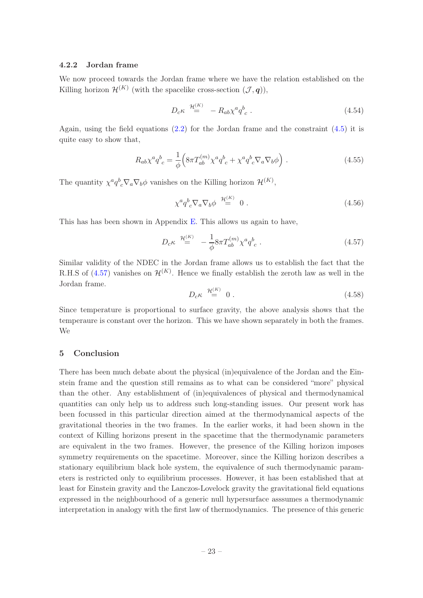## <span id="page-23-0"></span>4.2.2 Jordan frame

We now proceed towards the Jordan frame where we have the relation established on the Killing horizon  $\mathcal{H}^{(K)}$  (with the spacelike cross-section  $(\mathcal{J}, \mathbf{q})$ ),

$$
D_c \kappa \stackrel{\mathcal{H}^{(K)}}{=} -R_{ab} \chi^a q_c^b . \tag{4.54}
$$

Again, using the field equations  $(2.2)$  for the Jordan frame and the constraint  $(4.5)$  it is quite easy to show that,

$$
R_{ab}\chi^a q^b{}_c = \frac{1}{\phi} \Big( 8\pi T_{ab}^{(m)} \chi^a q^b{}_c + \chi^a q^b{}_c \nabla_a \nabla_b \phi \Big) . \tag{4.55}
$$

The quantity  $\chi^a q^b{}_c \nabla_a \nabla_b \phi$  vanishes on the Killing horizon  $\mathcal{H}^{(K)}$ ,

<span id="page-23-2"></span>
$$
\chi^a q^b{}_c \nabla_a \nabla_b \phi \stackrel{\mathcal{H}^{(K)}}{=} 0 . \tag{4.56}
$$

This has has been shown in Appendix [E.](#page-28-1) This allows us again to have,

<span id="page-23-3"></span>
$$
D_c \kappa \stackrel{\mathcal{H}^{(K)}}{=} -\frac{1}{\phi} 8\pi T_{ab}^{(m)} \chi^a q^b{}_c . \tag{4.57}
$$

Similar validity of the NDEC in the Jordan frame allows us to establish the fact that the R.H.S of [\(4.57\)](#page-23-3) vanishes on  $\mathcal{H}^{(K)}$ . Hence we finally establish the zeroth law as well in the Jordan frame.

$$
D_c \kappa \stackrel{\mathcal{H}^{(K)}}{=} 0 \tag{4.58}
$$

Since temperature is proportional to surface gravity, the above analysis shows that the temperaure is constant over the horizon. This we have shown separately in both the frames. We

## <span id="page-23-1"></span>5 Conclusion

There has been much debate about the physical (in)equivalence of the Jordan and the Einstein frame and the question still remains as to what can be considered "more" physical than the other. Any establishment of (in)equivalences of physical and thermodynamical quantities can only help us to address such long-standing issues. Our present work has been focussed in this particular direction aimed at the thermodynamical aspects of the gravitational theories in the two frames. In the earlier works, it had been shown in the context of Killing horizons present in the spacetime that the thermodynamic parameters are equivalent in the two frames. However, the presence of the Killing horizon imposes symmetry requirements on the spacetime. Moreover, since the Killing horizon describes a stationary equilibrium black hole system, the equivalence of such thermodynamic parameters is restricted only to equilibrium processes. However, it has been established that at least for Einstein gravity and the Lanczos-Lovelock gravity the gravitational field equations expressed in the neighbourhood of a generic null hypersurface asssumes a thermodynamic interpretation in analogy with the first law of thermodynamics. The presence of this generic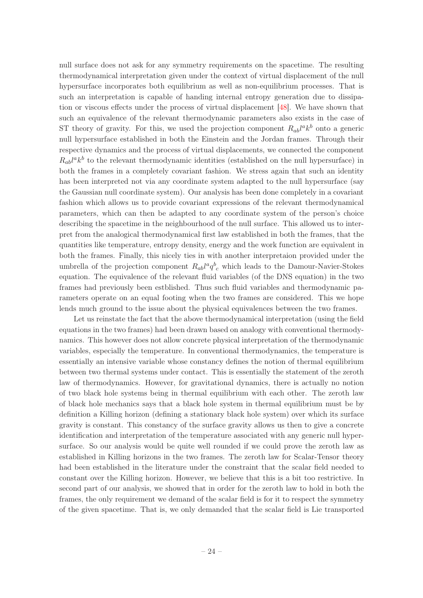null surface does not ask for any symmetry requirements on the spacetime. The resulting thermodynamical interpretation given under the context of virtual displacement of the null hypersurface incorporates both equilibrium as well as non-equilibrium processes. That is such an interpretation is capable of handing internal entropy generation due to dissipation or viscous effects under the process of virtual displacement [\[48\]](#page-31-3). We have shown that such an equivalence of the relevant thermodynamic parameters also exists in the case of ST theory of gravity. For this, we used the projection component  $R_{ab}l^ak^b$  onto a generic null hypersurface established in both the Einstein and the Jordan frames. Through their respective dynamics and the process of virtual displacements, we connected the component  $R_{ab}l^ak^b$  to the relevant thermodynamic identities (established on the null hypersurface) in both the frames in a completely covariant fashion. We stress again that such an identity has been interpreted not via any coordinate system adapted to the null hypersurface (say the Gaussian null coordinate system). Our analysis has been done completely in a covariant fashion which allows us to provide covariant expressions of the relevant thermodynamical parameters, which can then be adapted to any coordinate system of the person's choice describing the spacetime in the neighbourhood of the null surface. This allowed us to interpret from the analogical thermodynamical first law established in both the frames, that the quantities like temperature, entropy density, energy and the work function are equivalent in both the frames. Finally, this nicely ties in with another interpretaion provided under the umbrella of the projection component  $R_{ab}l^a q^b{}_c$  which leads to the Damour-Navier-Stokes equation. The equivalence of the relevant fluid variables (of the DNS equation) in the two frames had previously been estblished. Thus such fluid variables and thermodynamic parameters operate on an equal footing when the two frames are considered. This we hope lends much ground to the issue about the physical equivalences between the two frames.

Let us reinstate the fact that the above thermodynamical interpretation (using the field equations in the two frames) had been drawn based on analogy with conventional thermodynamics. This however does not allow concrete physical interpretation of the thermodynamic variables, especially the temperature. In conventional thermodynamics, the temperature is essentially an intensive variable whose constancy defines the notion of thermal equilibrium between two thermal systems under contact. This is essentially the statement of the zeroth law of thermodynamics. However, for gravitational dynamics, there is actually no notion of two black hole systems being in thermal equilibrium with each other. The zeroth law of black hole mechanics says that a black hole system in thermal equilibrium must be by definition a Killing horizon (defining a stationary black hole system) over which its surface gravity is constant. This constancy of the surface gravity allows us then to give a concrete identification and interpretation of the temperature associated with any generic null hypersurface. So our analysis would be quite well rounded if we could prove the zeroth law as established in Killing horizons in the two frames. The zeroth law for Scalar-Tensor theory had been established in the literature under the constraint that the scalar field needed to constant over the Killing horizon. However, we believe that this is a bit too restrictive. In second part of our analysis, we showed that in order for the zeroth law to hold in both the frames, the only requirement we demand of the scalar field is for it to respect the symmetry of the given spacetime. That is, we only demanded that the scalar field is Lie transported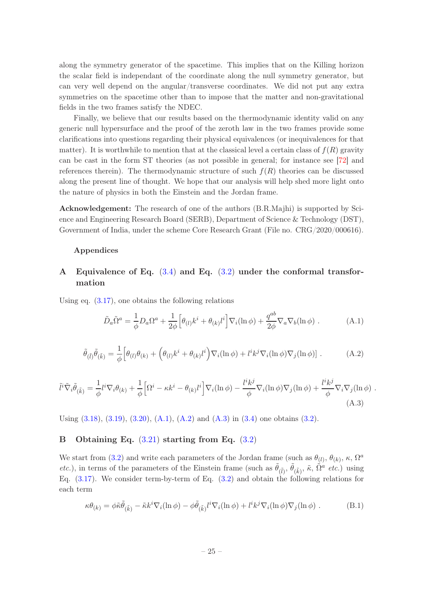along the symmetry generator of the spacetime. This implies that on the Killing horizon the scalar field is independant of the coordinate along the null symmetry generator, but can very well depend on the angular/transverse coordinates. We did not put any extra symmetries on the spacetime other than to impose that the matter and non-gravitational fields in the two frames satisfy the NDEC.

Finally, we believe that our results based on the thermodynamic identity valid on any generic null hypersurface and the proof of the zeroth law in the two frames provide some clarifications into questions regarding their physical equivalences (or inequivalences for that matter). It is worthwhile to mention that at the classical level a certain class of  $f(R)$  gravity can be cast in the form ST theories (as not possible in general; for instance see [\[72](#page-32-15)] and references therein). The thermodynamic structure of such  $f(R)$  theories can be discussed along the present line of thought. We hope that our analysis will help shed more light onto the nature of physics in both the Einstein and the Jordan frame.

Acknowledgement: The research of one of the authors (B.R.Majhi) is supported by Science and Engineering Research Board (SERB), Department of Science & Technology (DST), Government of India, under the scheme Core Research Grant (File no. CRG/2020/000616).

#### Appendices

# <span id="page-25-0"></span>A Equivalence of Eq.  $(3.4)$  and Eq.  $(3.2)$  under the conformal transformation

Using eq. [\(3.17\)](#page-10-2), one obtains the following relations

<span id="page-25-4"></span><span id="page-25-3"></span><span id="page-25-2"></span>
$$
\tilde{D}_a \tilde{\Omega}^a = \frac{1}{\phi} D_a \Omega^a + \frac{1}{2\phi} \Big[ \theta_{(l)} k^i + \theta_{(k)} l^i \Big] \nabla_i (\ln \phi) + \frac{q^{ab}}{2\phi} \nabla_a \nabla_b (\ln \phi) . \tag{A.1}
$$

$$
\tilde{\theta}_{(\tilde{l})}\tilde{\theta}_{(\tilde{k})} = \frac{1}{\phi} \Big[ \theta_{(l)}\theta_{(k)} + \Big( \theta_{(l)}k^i + \theta_{(k)}l^i \Big) \nabla_i(\ln \phi) + l^ik^j \nabla_i(\ln \phi) \nabla_j(\ln \phi) \Big] . \tag{A.2}
$$

$$
\tilde{l}^{i}\tilde{\nabla}_{i}\tilde{\theta}_{(\tilde{k})} = \frac{1}{\phi}l^{i}\nabla_{i}\theta_{(k)} + \frac{1}{\phi}\Big[\Omega^{i} - \kappa k^{i} - \theta_{(k)}l^{i}\Big]\nabla_{i}(\ln \phi) - \frac{l^{i}k^{j}}{\phi}\nabla_{i}(\ln \phi)\nabla_{j}(\ln \phi) + \frac{l^{i}k^{j}}{\phi}\nabla_{i}\nabla_{j}(\ln \phi) .
$$
\n(A.3)

<span id="page-25-1"></span>Using  $(3.18)$ ,  $(3.19)$ ,  $(3.20)$ ,  $(A.1)$ ,  $(A.2)$  and  $(A.3)$  in  $(3.4)$  one obtains  $(3.2)$ .

## B Obtaining Eq. [\(3.21\)](#page-11-0) starting from Eq. [\(3.2\)](#page-6-1)

We start from [\(3.2\)](#page-6-1) and write each parameters of the Jordan frame (such as  $\theta_{(l)}$ ,  $\theta_{(k)}$ ,  $\kappa$ ,  $\Omega^a$ *etc.*), in terms of the parameters of the Einstein frame (such as  $\tilde{\theta}_{(\tilde{l})}, \tilde{\theta}_{(\tilde{k})}, \tilde{\kappa}, \tilde{\Omega}^{\alpha}$  *etc.*) using Eq. [\(3.17\)](#page-10-2). We consider term-by-term of Eq. [\(3.2\)](#page-6-1) and obtain the following relations for each term

<span id="page-25-5"></span>
$$
\kappa \theta_{(k)} = \phi \tilde{\kappa} \tilde{\theta}_{(\tilde{k})} - \tilde{\kappa} k^i \nabla_i (\ln \phi) - \phi \tilde{\theta}_{(\tilde{k})} l^i \nabla_i (\ln \phi) + l^i k^j \nabla_i (\ln \phi) \nabla_j (\ln \phi) . \tag{B.1}
$$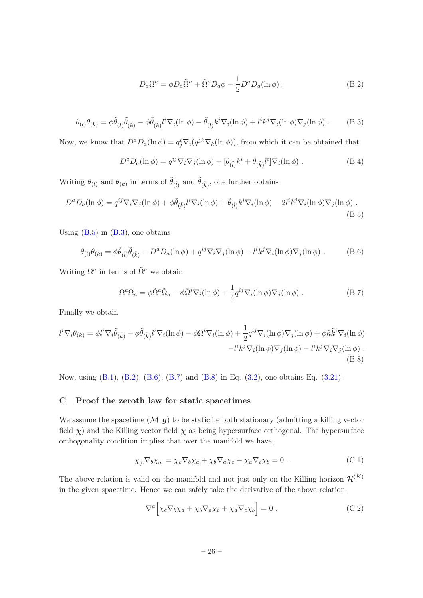<span id="page-26-3"></span><span id="page-26-2"></span>
$$
D_a \Omega^a = \phi D_a \tilde{\Omega}^a + \tilde{\Omega}^a D_a \phi - \frac{1}{2} D^a D_a (\ln \phi) . \qquad (B.2)
$$

$$
\theta_{(l)}\theta_{(k)} = \phi\tilde{\theta}_{(\tilde{l})}\tilde{\theta}_{(\tilde{k})} - \phi\tilde{\theta}_{(\tilde{k})}l^i\nabla_i(\ln\phi) - \tilde{\theta}_{(\tilde{l})}k^i\nabla_i(\ln\phi) + l^ik^j\nabla_i(\ln\phi)\nabla_j(\ln\phi) . \tag{B.3}
$$

Now, we know that  $D^a D_a(\ln \phi) = q_j^i \nabla_i (q^{jk} \nabla_k(\ln \phi))$ , from which it can be obtained that

<span id="page-26-1"></span>
$$
D^a D_a(\ln \phi) = q^{ij} \nabla_i \nabla_j(\ln \phi) + [\theta_{(\tilde{l})} k^i + \theta_{(\tilde{k})} l^i] \nabla_i(\ln \phi) . \tag{B.4}
$$

Writing  $\theta_{(l)}$  and  $\theta_{(k)}$  in terms of  $\tilde{\theta}_{(\tilde{l})}$  and  $\tilde{\theta}_{(\tilde{k})}$ , one further obtains

$$
D^a D_a(\ln \phi) = q^{ij} \nabla_i \nabla_j (\ln \phi) + \phi \tilde{\theta}_{(\tilde{k})} l^i \nabla_i (\ln \phi) + \tilde{\theta}_{(\tilde{l})} k^i \nabla_i (\ln \phi) - 2l^i k^j \nabla_i (\ln \phi) \nabla_j (\ln \phi) .
$$
\n(B.5)

Using  $(B.5)$  in  $(B.3)$ , one obtains

$$
\theta_{(l)}\theta_{(k)} = \phi\tilde{\theta}_{(\tilde{l})}\tilde{\theta}_{(\tilde{k})} - D^a D_a(\ln \phi) + q^{ij}\nabla_i \nabla_j(\ln \phi) - l^ik^j \nabla_i(\ln \phi) \nabla_j(\ln \phi) . \tag{B.6}
$$

Writing  $\Omega^a$  in terms of  $\tilde{\Omega}^a$  we obtain

<span id="page-26-5"></span><span id="page-26-4"></span>
$$
\Omega^a \Omega_a = \phi \tilde{\Omega}^a \tilde{\Omega}_a - \phi \tilde{\Omega}^i \nabla_i (\ln \phi) + \frac{1}{4} q^{ij} \nabla_i (\ln \phi) \nabla_j (\ln \phi) . \tag{B.7}
$$

Finally we obtain

$$
l^{i} \nabla_{i} \theta_{(k)} = \phi l^{i} \nabla_{i} \tilde{\theta}_{(\tilde{k})} + \phi \tilde{\theta}_{(\tilde{k})} l^{i} \nabla_{i} (\ln \phi) - \phi \tilde{\Omega}^{i} \nabla_{i} (\ln \phi) + \frac{1}{2} q^{ij} \nabla_{i} (\ln \phi) \nabla_{j} (\ln \phi) + \phi \tilde{\kappa} \tilde{k}^{i} \nabla_{i} (\ln \phi) - l^{i} k^{j} \nabla_{i} (\ln \phi) - l^{i} k^{j} \nabla_{i} (\ln \phi).
$$
\n(B.8)

Now, using [\(B.1\)](#page-25-5), [\(B.2\)](#page-26-3), [\(B.6\)](#page-26-4), [\(B.7\)](#page-26-5) and [\(B.8\)](#page-26-6) in Eq. [\(3.2\)](#page-6-1), one obtains Eq. [\(3.21\)](#page-11-0).

## <span id="page-26-0"></span>C Proof the zeroth law for static spacetimes

We assume the spacetime  $(M, g)$  to be static i.e both stationary (admitting a killing vector field  $\chi$ ) and the Killing vector field  $\chi$  as being hypersurface orthogonal. The hypersurface orthogonality condition implies that over the manifold we have,

<span id="page-26-6"></span>
$$
\chi_{[c}\nabla_b\chi_{a]} = \chi_c\nabla_b\chi_a + \chi_b\nabla_a\chi_c + \chi_a\nabla_c\chi_b = 0.
$$
 (C.1)

The above relation is valid on the manifold and not just only on the Killing horizon  $\mathcal{H}^{(K)}$ in the given spacetime. Hence we can safely take the derivative of the above relation:

$$
\nabla^a \Big[ \chi_c \nabla_b \chi_a + \chi_b \nabla_a \chi_c + \chi_a \nabla_c \chi_b \Big] = 0 \ . \tag{C.2}
$$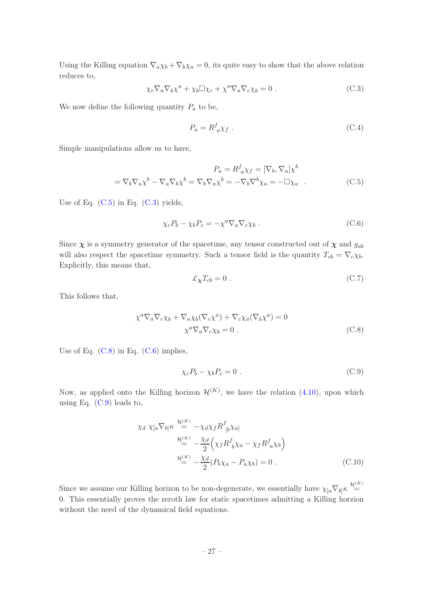Using the Killing equation  $\nabla_a \chi_b + \nabla_b \chi_a = 0$ , its quite easy to show that the above relation reduces to,

<span id="page-27-1"></span>
$$
\chi_c \nabla_a \nabla_b \chi^a + \chi_b \Box \chi_c + \chi^a \nabla_a \nabla_c \chi_b = 0.
$$
 (C.3)

We now define the following quantity  $P_a$  to be,

<span id="page-27-0"></span>
$$
P_a = R^f_{a} \chi_f \tag{C.4}
$$

Simple manipulations allow us to have,

$$
P_a = R^f_{a}\chi_f = [\nabla_b, \nabla_a]\chi^b
$$
  
=  $\nabla_b\nabla_a\chi^b - \nabla_a\nabla_b\chi^b = \nabla_b\nabla_a\chi^b = -\nabla_b\nabla^b\chi_a = -\Box\chi_a$  (C.5)

Use of Eq.  $(C.5)$  in Eq.  $(C.3)$  yields,

<span id="page-27-3"></span>
$$
\chi_c P_b - \chi_b P_c = -\chi^a \nabla_a \nabla_c \chi_b . \tag{C.6}
$$

Since  $\chi$  is a symmetry generator of the spacetime, any tensor constructed out of  $\chi$  and  $g_{ab}$ will also respect the spacetime symmetry. Such a tensor field is the quantity  $T_{cb} = \nabla_c \chi_b$ . Explicitly, this means that,

$$
\pounds_{\pmb{\chi}} T_{cb} = 0 \tag{C.7}
$$

This follows that,

<span id="page-27-2"></span>
$$
\chi^a \nabla_a \nabla_c \chi_b + \nabla_a \chi_b (\nabla_c \chi^a) + \nabla_c \chi_a (\nabla_b \chi^a) = 0
$$
  

$$
\chi^a \nabla_a \nabla_c \chi_b = 0.
$$
 (C.8)

Use of Eq.  $(C.8)$  in Eq.  $(C.6)$  implies,

<span id="page-27-4"></span>
$$
\chi_c P_b - \chi_b P_c = 0 \tag{C.9}
$$

Now, as applied onto the Killing horizon  $\mathcal{H}^{(K)}$ , we have the relation [\(4.10\)](#page-17-4), upon which using Eq.  $(C.9)$  leads to,

$$
\chi_d \chi_{[a} \nabla_{b]} \kappa \stackrel{\mathcal{H}^{(K)}}{=} -\chi_d \chi_f R^f_{[b} \chi_{a]}
$$
  

$$
\stackrel{\mathcal{H}^{(K)}}{=} -\frac{\chi_d}{2} \Big( \chi_f R^f_{b} \chi_a - \chi_f R^f_{a} \chi_b \Big)
$$
  

$$
\stackrel{\mathcal{H}^{(K)}}{=} -\frac{\chi_d}{2} (P_b \chi_a - P_a \chi_b) = 0 .
$$
 (C.10)

Since we assume our Killing horizon to be non-degenerate, we essentially have  $\chi_{a} \nabla_{b} \kappa \stackrel{\mathcal{H}^{(K)}}{=}$ 0. This essentially proves the zeroth law for static spacetimes admitting a Killing horzion without the need of the dynamical field equations.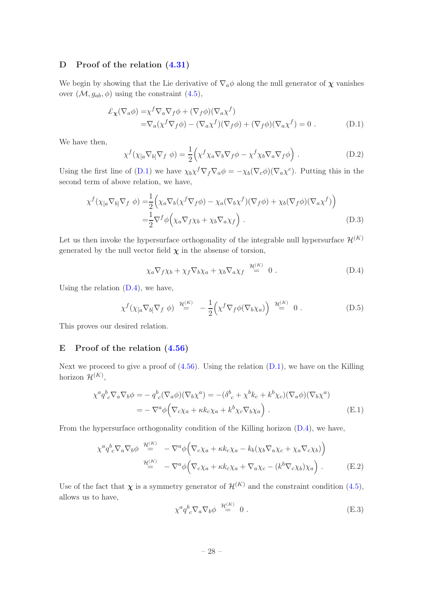## <span id="page-28-0"></span>D Proof of the relation [\(4.31\)](#page-20-0)

We begin by showing that the Lie derivative of  $\nabla_a \phi$  along the null generator of  $\chi$  vanishes over  $(\mathcal{M}, g_{ab}, \phi)$  using the constraint  $(4.5)$ ,

$$
\mathcal{L}_{\mathbf{\chi}}(\nabla_a \phi) = \chi^f \nabla_a \nabla_f \phi + (\nabla_f \phi)(\nabla_a \chi^f) \n= \nabla_a (\chi^f \nabla_f \phi) - (\nabla_a \chi^f)(\nabla_f \phi) + (\nabla_f \phi)(\nabla_a \chi^f) = 0.
$$
\n(D.1)

We have then,

<span id="page-28-2"></span>
$$
\chi^f(\chi_{[a}\nabla_{b]}\nabla_f \phi) = \frac{1}{2} \Big( \chi^f \chi_a \nabla_b \nabla_f \phi - \chi^f \chi_b \nabla_a \nabla_f \phi \Big) . \tag{D.2}
$$

Using the first line of [\(D.1\)](#page-28-2) we have  $\chi_b \chi^f \nabla_f \nabla_a \phi = -\chi_b (\nabla_c \phi) (\nabla_a \chi^c)$ . Putting this in the second term of above relation, we have,

$$
\chi^f(\chi_{[a}\nabla_{b]}\nabla_f \phi) = \frac{1}{2} \Big( \chi_a \nabla_b(\chi^f \nabla_f \phi) - \chi_a(\nabla_b \chi^f)(\nabla_f \phi) + \chi_b(\nabla_f \phi)(\nabla_a \chi^f) \Big)
$$
  
= 
$$
\frac{1}{2} \nabla^f \phi \Big( \chi_a \nabla_f \chi_b + \chi_b \nabla_a \chi_f \Big) .
$$
 (D.3)

Let us then invoke the hypersurface orthogonality of the integrable null hypersurface  $\mathcal{H}^{(K)}$ generated by the null vector field  $\chi$  in the absense of torsion,

<span id="page-28-3"></span>
$$
\chi_a \nabla_f \chi_b + \chi_f \nabla_b \chi_a + \chi_b \nabla_a \chi_f \stackrel{\mathcal{H}^{(K)}}{=} 0.
$$
 (D.4)

Using the relation  $(D.4)$ , we have,

$$
\chi^f(\chi_{[a}\nabla_{b]}\nabla_f \phi) \stackrel{\mathcal{H}^{(K)}}{=} -\frac{1}{2} \Big(\chi^f \nabla_f \phi(\nabla_b \chi_a)\Big) \stackrel{\mathcal{H}^{(K)}}{=} 0.
$$
 (D.5)

<span id="page-28-1"></span>This proves our desired relation.

## E Proof of the relation [\(4.56\)](#page-23-2)

Next we proceed to give a proof of  $(4.56)$ . Using the relation  $(D.1)$ , we have on the Killing horizon  $\mathcal{H}^{(K)}$ ,

$$
\chi^a q^b{}_c \nabla_a \nabla_b \phi = -q^b{}_c (\nabla_a \phi)(\nabla_b \chi^a) = -(\delta^b{}_c + \chi^b k_c + k^b \chi_c)(\nabla_a \phi)(\nabla_b \chi^a)
$$
  
= 
$$
-\nabla^a \phi \Big( \nabla_c \chi_a + \kappa k_c \chi_a + k^b \chi_c \nabla_b \chi_a \Big) . \tag{E.1}
$$

From the hypersurface orthogonality condition of the Killing horizon [\(D.4\)](#page-28-3), we have,

$$
\chi^{a} q^{b}_{c} \nabla_{a} \nabla_{b} \phi \stackrel{\mathcal{H}^{(K)}}{=} -\nabla^{a} \phi \Big( \nabla_{c} \chi_{a} + \kappa k_{c} \chi_{a} - k_{b} (\chi_{b} \nabla_{a} \chi_{c} + \chi_{a} \nabla_{c} \chi_{b}) \Big) \n\stackrel{\mathcal{H}^{(K)}}{=} -\nabla^{a} \phi \Big( \nabla_{c} \chi_{a} + \kappa k_{c} \chi_{a} + \nabla_{a} \chi_{c} - (k^{b} \nabla_{c} \chi_{b}) \chi_{a} \Big) .
$$
\n(E.2)

Use of the fact that  $\chi$  is a symmetry generator of  $\mathcal{H}^{(K)}$  and the constraint condition [\(4.5\)](#page-16-0), allows us to have,

$$
\chi^a q^b{}_c \nabla_a \nabla_b \phi \stackrel{\mathcal{H}^{(K)}}{=} 0 . \tag{E.3}
$$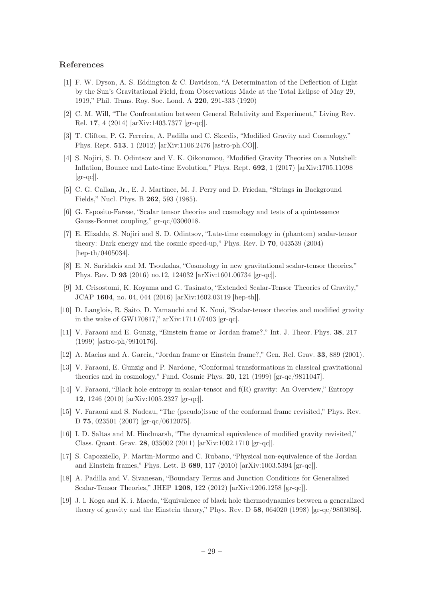## References

- <span id="page-29-0"></span>[1] F. W. Dyson, A. S. Eddington & C. Davidson, "A Determination of the Deflection of Light by the Sun's Gravitational Field, from Observations Made at the Total Eclipse of May 29, 1919," Phil. Trans. Roy. Soc. Lond. A 220, 291-333 (1920)
- <span id="page-29-1"></span>[2] C. M. Will, "The Confrontation between General Relativity and Experiment," Living Rev. Rel. 17, 4 (2014) [arXiv:1403.7377 [gr-qc]].
- <span id="page-29-2"></span>[3] T. Clifton, P. G. Ferreira, A. Padilla and C. Skordis, "Modified Gravity and Cosmology," Phys. Rept. 513, 1 (2012) [arXiv:1106.2476 [astro-ph.CO]].
- <span id="page-29-3"></span>[4] S. Nojiri, S. D. Odintsov and V. K. Oikonomou, "Modified Gravity Theories on a Nutshell: Inflation, Bounce and Late-time Evolution," Phys. Rept. 692, 1 (2017) [arXiv:1705.11098  $\left[\text{gr-qcl}\right]$ .
- <span id="page-29-4"></span>[5] C. G. Callan, Jr., E. J. Martinec, M. J. Perry and D. Friedan, "Strings in Background Fields," Nucl. Phys. B 262, 593 (1985).
- [6] G. Esposito-Farese, "Scalar tensor theories and cosmology and tests of a quintessence Gauss-Bonnet coupling," gr-qc/0306018.
- [7] E. Elizalde, S. Nojiri and S. D. Odintsov, "Late-time cosmology in (phantom) scalar-tensor theory: Dark energy and the cosmic speed-up," Phys. Rev. D 70, 043539 (2004) [hep-th/0405034].
- [8] E. N. Saridakis and M. Tsoukalas, "Cosmology in new gravitational scalar-tensor theories," Phys. Rev. D 93 (2016) no.12, 124032 [arXiv:1601.06734 [gr-qc]].
- [9] M. Crisostomi, K. Koyama and G. Tasinato, "Extended Scalar-Tensor Theories of Gravity," JCAP 1604, no. 04, 044 (2016) [arXiv:1602.03119 [hep-th]].
- <span id="page-29-5"></span>[10] D. Langlois, R. Saito, D. Yamauchi and K. Noui, "Scalar-tensor theories and modified gravity in the wake of GW170817," arXiv:1711.07403 [gr-qc].
- <span id="page-29-6"></span>[11] V. Faraoni and E. Gunzig, "Einstein frame or Jordan frame?," Int. J. Theor. Phys. 38, 217 (1999) [astro-ph/9910176].
- <span id="page-29-10"></span>[12] A. Macias and A. Garcia, "Jordan frame or Einstein frame?," Gen. Rel. Grav. 33, 889 (2001).
- <span id="page-29-7"></span>[13] V. Faraoni, E. Gunzig and P. Nardone, "Conformal transformations in classical gravitational theories and in cosmology," Fund. Cosmic Phys. 20, 121 (1999) [gr-qc/9811047].
- <span id="page-29-11"></span>[14] V. Faraoni, "Black hole entropy in scalar-tensor and f(R) gravity: An Overview," Entropy 12, 1246 (2010) [arXiv:1005.2327 [gr-qc]].
- [15] V. Faraoni and S. Nadeau, "The (pseudo)issue of the conformal frame revisited," Phys. Rev. D 75, 023501 (2007) [gr-qc/0612075].
- [16] I. D. Saltas and M. Hindmarsh, "The dynamical equivalence of modified gravity revisited," Class. Quant. Grav. 28, 035002 (2011) [arXiv:1002.1710 [gr-qc]].
- <span id="page-29-8"></span>[17] S. Capozziello, P. Martin-Moruno and C. Rubano, "Physical non-equivalence of the Jordan and Einstein frames," Phys. Lett. B 689, 117 (2010) [arXiv:1003.5394 [gr-qc]].
- [18] A. Padilla and V. Sivanesan, "Boundary Terms and Junction Conditions for Generalized Scalar-Tensor Theories," JHEP 1208, 122 (2012) [arXiv:1206.1258 [gr-qc]].
- <span id="page-29-9"></span>[19] J. i. Koga and K. i. Maeda, "Equivalence of black hole thermodynamics between a generalized theory of gravity and the Einstein theory," Phys. Rev. D 58, 064020 (1998) [gr-qc/9803086].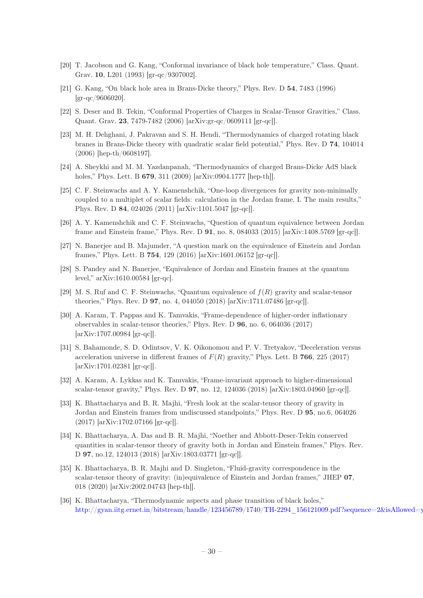- <span id="page-30-8"></span>[20] T. Jacobson and G. Kang, "Conformal invariance of black hole temperature," Class. Quant. Grav. 10, L201 (1993) [gr-qc/9307002].
- <span id="page-30-7"></span>[21] G. Kang, "On black hole area in Brans-Dicke theory," Phys. Rev. D 54, 7483 (1996) [gr-qc/9606020].
- <span id="page-30-4"></span>[22] S. Deser and B. Tekin, "Conformal Properties of Charges in Scalar-Tensor Gravities," Class. Quant. Grav. 23, 7479-7482 (2006) [arXiv:gr-qc/0609111 [gr-qc]].
- [23] M. H. Dehghani, J. Pakravan and S. H. Hendi, "Thermodynamics of charged rotating black branes in Brans-Dicke theory with quadratic scalar field potential," Phys. Rev. D 74, 104014 (2006) [hep-th/0608197].
- [24] A. Sheykhi and M. M. Yazdanpanah, "Thermodynamics of charged Brans-Dicke AdS black holes," Phys. Lett. B 679, 311 (2009) [arXiv:0904.1777 [hep-th]].
- [25] C. F. Steinwachs and A. Y. Kamenshchik, "One-loop divergences for gravity non-minimally coupled to a multiplet of scalar fields: calculation in the Jordan frame. I. The main results," Phys. Rev. D 84, 024026 (2011) [arXiv:1101.5047 [gr-qc]].
- <span id="page-30-1"></span>[26] A. Y. Kamenshchik and C. F. Steinwachs, "Question of quantum equivalence between Jordan frame and Einstein frame," Phys. Rev. D 91, no. 8, 084033 (2015) [arXiv:1408.5769 [gr-qc]].
- [27] N. Banerjee and B. Majumder, "A question mark on the equivalence of Einstein and Jordan frames," Phys. Lett. B 754, 129 (2016) [arXiv:1601.06152 [gr-qc]].
- [28] S. Pandey and N. Banerjee, "Equivalence of Jordan and Einstein frames at the quantum level," arXiv:1610.00584 [gr-qc].
- <span id="page-30-2"></span>[29] M. S. Ruf and C. F. Steinwachs, "Quantum equivalence of  $f(R)$  gravity and scalar-tensor theories," Phys. Rev. D 97, no. 4, 044050 (2018) [arXiv:1711.07486 [gr-qc]].
- [30] A. Karam, T. Pappas and K. Tamvakis, "Frame-dependence of higher-order inflationary observables in scalar-tensor theories," Phys. Rev. D 96, no. 6, 064036 (2017) [arXiv:1707.00984 [gr-qc]].
- [31] S. Bahamonde, S. D. Odintsov, V. K. Oikonomou and P. V. Tretyakov, "Deceleration versus acceleration universe in different frames of  $F(R)$  gravity," Phys. Lett. B 766, 225 (2017) [arXiv:1701.02381 [gr-qc]].
- [32] A. Karam, A. Lykkas and K. Tamvakis, "Frame-invariant approach to higher-dimensional scalar-tensor gravity," Phys. Rev. D 97, no. 12, 124036 (2018) [arXiv:1803.04960 [gr-qc]].
- <span id="page-30-3"></span>[33] K. Bhattacharya and B. R. Majhi, "Fresh look at the scalar-tensor theory of gravity in Jordan and Einstein frames from undiscussed standpoints," Phys. Rev. D 95, no.6, 064026 (2017) [arXiv:1702.07166 [gr-qc]].
- <span id="page-30-6"></span>[34] K. Bhattacharya, A. Das and B. R. Majhi, "Noether and Abbott-Deser-Tekin conserved quantities in scalar-tensor theory of gravity both in Jordan and Einstein frames," Phys. Rev. D 97, no.12, 124013 (2018) [arXiv:1803.03771 [gr-qc]].
- <span id="page-30-5"></span>[35] K. Bhattacharya, B. R. Majhi and D. Singleton, "Fluid-gravity correspondence in the scalar-tensor theory of gravity: (in)equivalence of Einstein and Jordan frames," JHEP 07, 018 (2020) [arXiv:2002.04743 [hep-th]].
- <span id="page-30-0"></span>[36] K. Bhattacharya, "Thermodynamic aspects and phase transition of black holes," [http://gyan.iitg.ernet.in/bitstream/handle/123456789/1740/TH-2294\\_156121009.pdf?sequence=2&isAllowed=y](http://gyan.iitg.ernet.in/bitstream/handle/123456789/1740/TH-2294_156121009.pdf?sequence=2&isAllowed=y)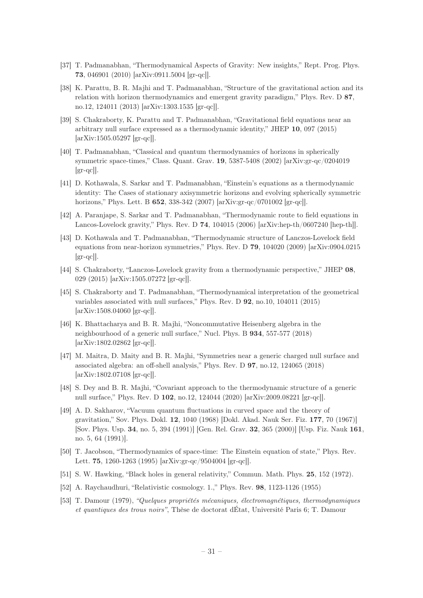- <span id="page-31-0"></span>[37] T. Padmanabhan, "Thermodynamical Aspects of Gravity: New insights," Rept. Prog. Phys. 73, 046901 (2010) [arXiv:0911.5004 [gr-qc]].
- [38] K. Parattu, B. R. Majhi and T. Padmanabhan, "Structure of the gravitational action and its relation with horizon thermodynamics and emergent gravity paradigm," Phys. Rev. D 87, no.12, 124011 (2013) [arXiv:1303.1535 [gr-qc]].
- <span id="page-31-1"></span>[39] S. Chakraborty, K. Parattu and T. Padmanabhan, "Gravitational field equations near an arbitrary null surface expressed as a thermodynamic identity," JHEP 10, 097 (2015) [arXiv:1505.05297 [gr-qc]].
- [40] T. Padmanabhan, "Classical and quantum thermodynamics of horizons in spherically symmetric space-times," Class. Quant. Grav. 19, 5387-5408 (2002) [arXiv:gr-qc/0204019  $\left[\text{gr-qc}\right]$ .
- <span id="page-31-9"></span>[41] D. Kothawala, S. Sarkar and T. Padmanabhan, "Einstein's equations as a thermodynamic identity: The Cases of stationary axisymmetric horizons and evolving spherically symmetric horizons," Phys. Lett. B **652**, 338-342 (2007) [arXiv:gr-qc/0701002 [gr-qc]].
- <span id="page-31-10"></span>[42] A. Paranjape, S. Sarkar and T. Padmanabhan, "Thermodynamic route to field equations in Lancos-Lovelock gravity," Phys. Rev. D 74, 104015 (2006) [arXiv:hep-th/0607240 [hep-th]].
- [43] D. Kothawala and T. Padmanabhan, "Thermodynamic structure of Lanczos-Lovelock field equations from near-horizon symmetries," Phys. Rev. D 79, 104020 (2009) [arXiv:0904.0215  $\left[\text{gr-qc}\right]$ .
- <span id="page-31-11"></span>[44] S. Chakraborty, "Lanczos-Lovelock gravity from a thermodynamic perspective," JHEP 08, 029 (2015) [arXiv:1505.07272 [gr-qc]].
- <span id="page-31-2"></span>[45] S. Chakraborty and T. Padmanabhan, "Thermodynamical interpretation of the geometrical variables associated with null surfaces," Phys. Rev. D 92, no.10, 104011 (2015) [arXiv:1508.04060 [gr-qc]].
- [46] K. Bhattacharya and B. R. Majhi, "Noncommutative Heisenberg algebra in the neighbourhood of a generic null surface," Nucl. Phys. B 934, 557-577 (2018) [arXiv:1802.02862 [gr-qc]].
- [47] M. Maitra, D. Maity and B. R. Majhi, "Symmetries near a generic charged null surface and associated algebra: an off-shell analysis," Phys. Rev. D 97, no.12, 124065 (2018) [arXiv:1802.07108 [gr-qc]].
- <span id="page-31-3"></span>[48] S. Dey and B. R. Majhi, "Covariant approach to the thermodynamic structure of a generic null surface," Phys. Rev. D 102, no.12, 124044 (2020) [arXiv:2009.08221 [gr-qc]].
- <span id="page-31-4"></span>[49] A. D. Sakharov, "Vacuum quantum fluctuations in curved space and the theory of gravitation," Sov. Phys. Dokl. 12, 1040 (1968) [Dokl. Akad. Nauk Ser. Fiz. 177, 70 (1967)] [Sov. Phys. Usp. 34, no. 5, 394 (1991)] [Gen. Rel. Grav. 32, 365 (2000)] [Usp. Fiz. Nauk 161, no. 5, 64 (1991)].
- <span id="page-31-5"></span>[50] T. Jacobson, "Thermodynamics of space-time: The Einstein equation of state," Phys. Rev. Lett. 75, 1260-1263 (1995) [arXiv:gr-qc/9504004 [gr-qc]].
- <span id="page-31-8"></span>[51] S. W. Hawking, "Black holes in general relativity," Commun. Math. Phys. 25, 152 (1972).
- <span id="page-31-6"></span>[52] A. Raychaudhuri, "Relativistic cosmology. 1.," Phys. Rev. 98, 1123-1126 (1955)
- <span id="page-31-7"></span>[53] T. Damour (1979), "Quelques propriétés mécaniques, électromagnétiques, thermodynamiques et quantiques des trous noirs", Thèse de doctorat dÉtat, Université Paris 6; T. Damour